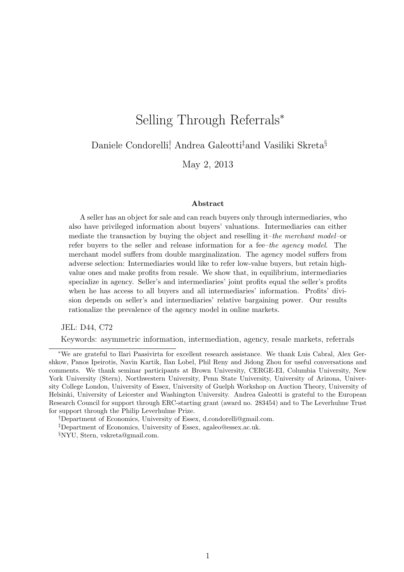# Selling Through Referrals<sup>∗</sup>

Daniele Condorelli<sup>†</sup> Andrea Galeotti<sup>‡</sup>and Vasiliki Skreta<sup>§</sup>

May 2, 2013

#### Abstract

A seller has an object for sale and can reach buyers only through intermediaries, who also have privileged information about buyers' valuations. Intermediaries can either mediate the transaction by buying the object and reselling it–the merchant model–or refer buyers to the seller and release information for a fee–the agency model. The merchant model suffers from double marginalization. The agency model suffers from adverse selection: Intermediaries would like to refer low-value buyers, but retain highvalue ones and make profits from resale. We show that, in equilibrium, intermediaries specialize in agency. Seller's and intermediaries' joint profits equal the seller's profits when he has access to all buyers and all intermediaries' information. Profits' division depends on seller's and intermediaries' relative bargaining power. Our results rationalize the prevalence of the agency model in online markets.

JEL: D44, C72

Keywords: asymmetric information, intermediation, agency, resale markets, referrals

†Department of Economics, University of Essex, d.condorelli@gmail.com.

§NYU, Stern, vskreta@gmail.com.

<sup>∗</sup>We are grateful to Ilari Paasivirta for excellent research assistance. We thank Luis Cabral, Alex Gershkow, Panos Ipeirotis, Navin Kartik, Ilan Lobel, Phil Reny and Jidong Zhou for useful conversations and comments. We thank seminar participants at Brown University, CERGE-EI, Columbia University, New York University (Stern), Northwestern University, Penn State University, University of Arizona, University College London, University of Essex, University of Guelph Workshop on Auction Theory, University of Helsinki, University of Leicester and Washington University. Andrea Galeotti is grateful to the European Research Council for support through ERC-starting grant (award no. 283454) and to The Leverhulme Trust for support through the Philip Leverhulme Prize.

<sup>‡</sup>Department of Economics, University of Essex, agaleo@essex.ac.uk.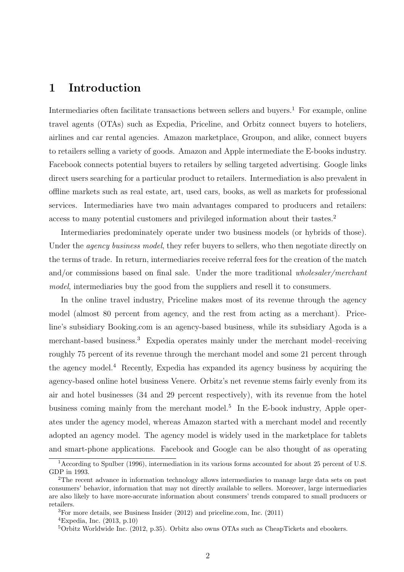## 1 Introduction

Intermediaries often facilitate transactions between sellers and buyers.<sup>1</sup> For example, online travel agents (OTAs) such as Expedia, Priceline, and Orbitz connect buyers to hoteliers, airlines and car rental agencies. Amazon marketplace, Groupon, and alike, connect buyers to retailers selling a variety of goods. Amazon and Apple intermediate the E-books industry. Facebook connects potential buyers to retailers by selling targeted advertising. Google links direct users searching for a particular product to retailers. Intermediation is also prevalent in offline markets such as real estate, art, used cars, books, as well as markets for professional services. Intermediaries have two main advantages compared to producers and retailers: access to many potential customers and privileged information about their tastes.<sup>2</sup>

Intermediaries predominately operate under two business models (or hybrids of those). Under the *agency business model*, they refer buyers to sellers, who then negotiate directly on the terms of trade. In return, intermediaries receive referral fees for the creation of the match and/or commissions based on final sale. Under the more traditional *wholesaler/merchant model*, intermediaries buy the good from the suppliers and resell it to consumers.

In the online travel industry, Priceline makes most of its revenue through the agency model (almost 80 percent from agency, and the rest from acting as a merchant). Priceline's subsidiary Booking.com is an agency-based business, while its subsidiary Agoda is a merchant-based business.<sup>3</sup> Expedia operates mainly under the merchant model–receiving roughly 75 percent of its revenue through the merchant model and some 21 percent through the agency model.<sup>4</sup> Recently, Expedia has expanded its agency business by acquiring the agency-based online hotel business Venere. Orbitz's net revenue stems fairly evenly from its air and hotel businesses (34 and 29 percent respectively), with its revenue from the hotel business coming mainly from the merchant model.<sup>5</sup> In the E-book industry, Apple operates under the agency model, whereas Amazon started with a merchant model and recently adopted an agency model. The agency model is widely used in the marketplace for tablets and smart-phone applications. Facebook and Google can be also thought of as operating

<sup>1</sup>According to Spulber (1996), intermediation in its various forms accounted for about 25 percent of U.S. GDP in 1993.

<sup>2</sup>The recent advance in information technology allows intermediaries to manage large data sets on past consumers' behavior, information that may not directly available to sellers. Moreover, large intermediaries are also likely to have more-accurate information about consumers' trends compared to small producers or retailers.

<sup>3</sup>For more details, see Business Insider (2012) and priceline.com, Inc. (2011)

<sup>&</sup>lt;sup>4</sup>Expedia, Inc.  $(2013, p.10)$ 

 $5$ Orbitz Worldwide Inc. (2012, p.35). Orbitz also owns OTAs such as CheapTickets and ebookers.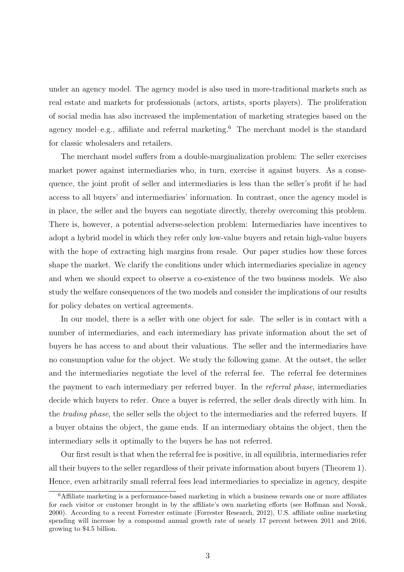under an agency model. The agency model is also used in more-traditional markets such as real estate and markets for professionals (actors, artists, sports players). The proliferation of social media has also increased the implementation of marketing strategies based on the agency model–e.g., affiliate and referral marketing.<sup>6</sup> The merchant model is the standard for classic wholesalers and retailers.

The merchant model suffers from a double-marginalization problem: The seller exercises market power against intermediaries who, in turn, exercise it against buyers. As a consequence, the joint profit of seller and intermediaries is less than the seller's profit if he had access to all buyers' and intermediaries' information. In contrast, once the agency model is in place, the seller and the buyers can negotiate directly, thereby overcoming this problem. There is, however, a potential adverse-selection problem: Intermediaries have incentives to adopt a hybrid model in which they refer only low-value buyers and retain high-value buyers with the hope of extracting high margins from resale. Our paper studies how these forces shape the market. We clarify the conditions under which intermediaries specialize in agency and when we should expect to observe a co-existence of the two business models. We also study the welfare consequences of the two models and consider the implications of our results for policy debates on vertical agreements.

In our model, there is a seller with one object for sale. The seller is in contact with a number of intermediaries, and each intermediary has private information about the set of buyers he has access to and about their valuations. The seller and the intermediaries have no consumption value for the object. We study the following game. At the outset, the seller and the intermediaries negotiate the level of the referral fee. The referral fee determines the payment to each intermediary per referred buyer. In the *referral phase*, intermediaries decide which buyers to refer. Once a buyer is referred, the seller deals directly with him. In the *trading phase*, the seller sells the object to the intermediaries and the referred buyers. If a buyer obtains the object, the game ends. If an intermediary obtains the object, then the intermediary sells it optimally to the buyers he has not referred.

Our first result is that when the referral fee is positive, in all equilibria, intermediaries refer all their buyers to the seller regardless of their private information about buyers (Theorem 1). Hence, even arbitrarily small referral fees lead intermediaries to specialize in agency, despite

<sup>6</sup>Affiliate marketing is a performance-based marketing in which a business rewards one or more affiliates for each visitor or customer brought in by the affiliate's own marketing efforts (see Hoffman and Novak, 2000). According to a recent Forrester estimate (Forrester Research, 2012), U.S. affiliate online marketing spending will increase by a compound annual growth rate of nearly 17 percent between 2011 and 2016, growing to \$4.5 billion.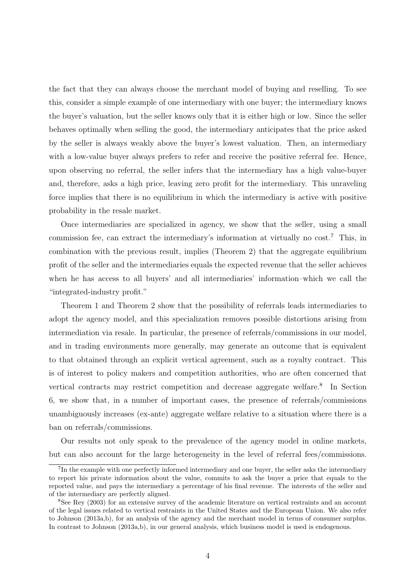the fact that they can always choose the merchant model of buying and reselling. To see this, consider a simple example of one intermediary with one buyer; the intermediary knows the buyer's valuation, but the seller knows only that it is either high or low. Since the seller behaves optimally when selling the good, the intermediary anticipates that the price asked by the seller is always weakly above the buyer's lowest valuation. Then, an intermediary with a low-value buyer always prefers to refer and receive the positive referral fee. Hence, upon observing no referral, the seller infers that the intermediary has a high value-buyer and, therefore, asks a high price, leaving zero profit for the intermediary. This unraveling force implies that there is no equilibrium in which the intermediary is active with positive probability in the resale market.

Once intermediaries are specialized in agency, we show that the seller, using a small commission fee, can extract the intermediary's information at virtually no cost.<sup>7</sup> This, in combination with the previous result, implies (Theorem 2) that the aggregate equilibrium profit of the seller and the intermediaries equals the expected revenue that the seller achieves when he has access to all buyers' and all intermediaries' information–which we call the "integrated-industry profit."

Theorem 1 and Theorem 2 show that the possibility of referrals leads intermediaries to adopt the agency model, and this specialization removes possible distortions arising from intermediation via resale. In particular, the presence of referrals/commissions in our model, and in trading environments more generally, may generate an outcome that is equivalent to that obtained through an explicit vertical agreement, such as a royalty contract. This is of interest to policy makers and competition authorities, who are often concerned that vertical contracts may restrict competition and decrease aggregate welfare.<sup>8</sup> In Section 6, we show that, in a number of important cases, the presence of referrals/commissions unambiguously increases (ex-ante) aggregate welfare relative to a situation where there is a ban on referrals/commissions.

Our results not only speak to the prevalence of the agency model in online markets, but can also account for the large heterogeneity in the level of referral fees/commissions.

<sup>&</sup>lt;sup>7</sup>In the example with one perfectly informed intermediary and one buyer, the seller asks the intermediary to report his private information about the value, commits to ask the buyer a price that equals to the reported value, and pays the intermediary a percentage of his final revenue. The interests of the seller and of the intermediary are perfectly aligned.

<sup>8</sup>See Rey (2003) for an extensive survey of the academic literature on vertical restraints and an account of the legal issues related to vertical restraints in the United States and the European Union. We also refer to Johnson (2013a,b), for an analysis of the agency and the merchant model in terms of consumer surplus. In contrast to Johnson (2013a,b), in our general analysis, which business model is used is endogenous.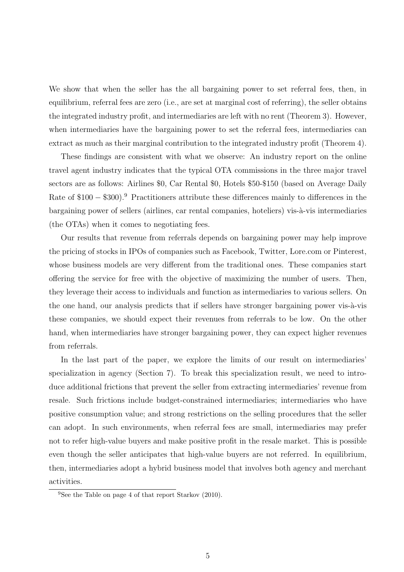We show that when the seller has the all bargaining power to set referral fees, then, in equilibrium, referral fees are zero (i.e., are set at marginal cost of referring), the seller obtains the integrated industry profit, and intermediaries are left with no rent (Theorem 3). However, when intermediaries have the bargaining power to set the referral fees, intermediaries can extract as much as their marginal contribution to the integrated industry profit (Theorem 4).

These findings are consistent with what we observe: An industry report on the online travel agent industry indicates that the typical OTA commissions in the three major travel sectors are as follows: Airlines \$0, Car Rental \$0, Hotels \$50-\$150 (based on Average Daily Rate of  $$100 - $300$ .<sup>9</sup> Practitioners attribute these differences mainly to differences in the bargaining power of sellers (airlines, car rental companies, hoteliers) vis-à-vis intermediaries (the OTAs) when it comes to negotiating fees.

Our results that revenue from referrals depends on bargaining power may help improve the pricing of stocks in IPOs of companies such as Facebook, Twitter, Lore.com or Pinterest, whose business models are very different from the traditional ones. These companies start offering the service for free with the objective of maximizing the number of users. Then, they leverage their access to individuals and function as intermediaries to various sellers. On the one hand, our analysis predicts that if sellers have stronger bargaining power vis- $\grave{a}$ -vis these companies, we should expect their revenues from referrals to be low. On the other hand, when intermediaries have stronger bargaining power, they can expect higher revenues from referrals.

In the last part of the paper, we explore the limits of our result on intermediaries' specialization in agency (Section 7). To break this specialization result, we need to introduce additional frictions that prevent the seller from extracting intermediaries' revenue from resale. Such frictions include budget-constrained intermediaries; intermediaries who have positive consumption value; and strong restrictions on the selling procedures that the seller can adopt. In such environments, when referral fees are small, intermediaries may prefer not to refer high-value buyers and make positive profit in the resale market. This is possible even though the seller anticipates that high-value buyers are not referred. In equilibrium, then, intermediaries adopt a hybrid business model that involves both agency and merchant activities.

<sup>&</sup>lt;sup>9</sup>See the Table on page 4 of that report Starkov  $(2010)$ .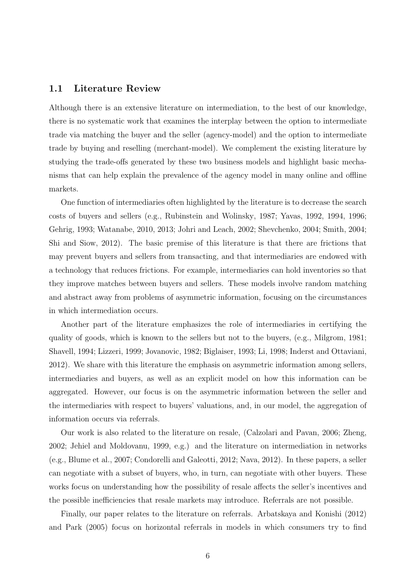### 1.1 Literature Review

Although there is an extensive literature on intermediation, to the best of our knowledge, there is no systematic work that examines the interplay between the option to intermediate trade via matching the buyer and the seller (agency-model) and the option to intermediate trade by buying and reselling (merchant-model). We complement the existing literature by studying the trade-offs generated by these two business models and highlight basic mechanisms that can help explain the prevalence of the agency model in many online and offline markets.

One function of intermediaries often highlighted by the literature is to decrease the search costs of buyers and sellers (e.g., Rubinstein and Wolinsky, 1987; Yavas, 1992, 1994, 1996; Gehrig, 1993; Watanabe, 2010, 2013; Johri and Leach, 2002; Shevchenko, 2004; Smith, 2004; Shi and Siow, 2012). The basic premise of this literature is that there are frictions that may prevent buyers and sellers from transacting, and that intermediaries are endowed with a technology that reduces frictions. For example, intermediaries can hold inventories so that they improve matches between buyers and sellers. These models involve random matching and abstract away from problems of asymmetric information, focusing on the circumstances in which intermediation occurs.

Another part of the literature emphasizes the role of intermediaries in certifying the quality of goods, which is known to the sellers but not to the buyers, (e.g., Milgrom, 1981; Shavell, 1994; Lizzeri, 1999; Jovanovic, 1982; Biglaiser, 1993; Li, 1998; Inderst and Ottaviani, 2012). We share with this literature the emphasis on asymmetric information among sellers, intermediaries and buyers, as well as an explicit model on how this information can be aggregated. However, our focus is on the asymmetric information between the seller and the intermediaries with respect to buyers' valuations, and, in our model, the aggregation of information occurs via referrals.

Our work is also related to the literature on resale, (Calzolari and Pavan, 2006; Zheng, 2002; Jehiel and Moldovanu, 1999, e.g.) and the literature on intermediation in networks (e.g., Blume et al., 2007; Condorelli and Galeotti, 2012; Nava, 2012). In these papers, a seller can negotiate with a subset of buyers, who, in turn, can negotiate with other buyers. These works focus on understanding how the possibility of resale affects the seller's incentives and the possible inefficiencies that resale markets may introduce. Referrals are not possible.

Finally, our paper relates to the literature on referrals. Arbatskaya and Konishi (2012) and Park (2005) focus on horizontal referrals in models in which consumers try to find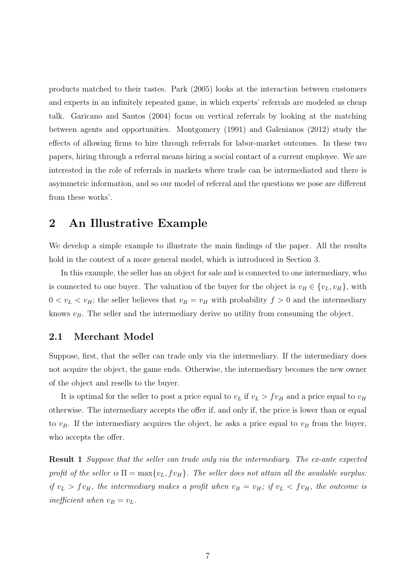products matched to their tastes. Park (2005) looks at the interaction between customers and experts in an infinitely repeated game, in which experts' referrals are modeled as cheap talk. Garicano and Santos (2004) focus on vertical referrals by looking at the matching between agents and opportunities. Montgomery (1991) and Galenianos (2012) study the effects of allowing firms to hire through referrals for labor-market outcomes. In these two papers, hiring through a referral means hiring a social contact of a current employee. We are interested in the role of referrals in markets where trade can be intermediated and there is asymmetric information, and so our model of referral and the questions we pose are different from these works'.

## 2 An Illustrative Example

We develop a simple example to illustrate the main findings of the paper. All the results hold in the context of a more general model, which is introduced in Section 3.

In this example, the seller has an object for sale and is connected to one intermediary, who is connected to one buyer. The valuation of the buyer for the object is  $v_B \in \{v_L, v_H\}$ , with  $0 < v_L < v_H$ ; the seller believes that  $v_B = v_H$  with probability  $f > 0$  and the intermediary knows  $v_B$ . The seller and the intermediary derive no utility from consuming the object.

### 2.1 Merchant Model

Suppose, first, that the seller can trade only via the intermediary. If the intermediary does not acquire the object, the game ends. Otherwise, the intermediary becomes the new owner of the object and resells to the buyer.

It is optimal for the seller to post a price equal to  $v_L$  if  $v_L > f v_H$  and a price equal to  $v_H$ otherwise. The intermediary accepts the offer if, and only if, the price is lower than or equal to  $v_B$ . If the intermediary acquires the object, he asks a price equal to  $v_B$  from the buyer, who accepts the offer.

Result 1 *Suppose that the seller can trade only via the intermediary. The ex-ante expected profit of the seller is*  $\Pi = \max\{v_L, f v_H\}$ . The seller does not attain all the available surplus: *if*  $v_L > f v_H$ , the intermediary makes a profit when  $v_B = v_H$ ; if  $v_L < f v_H$ , the outcome is *inefficient when*  $v_B = v_L$ .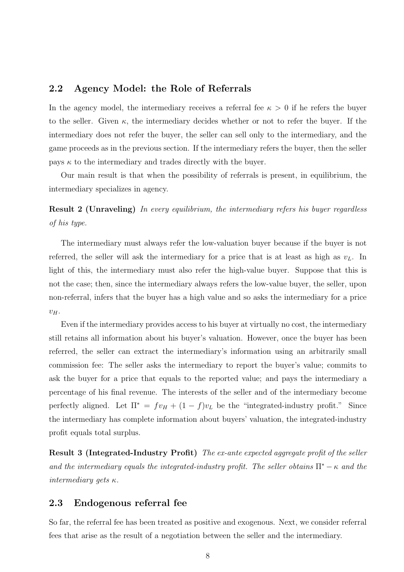### 2.2 Agency Model: the Role of Referrals

In the agency model, the intermediary receives a referral fee  $\kappa > 0$  if he refers the buyer to the seller. Given  $\kappa$ , the intermediary decides whether or not to refer the buyer. If the intermediary does not refer the buyer, the seller can sell only to the intermediary, and the game proceeds as in the previous section. If the intermediary refers the buyer, then the seller pays  $\kappa$  to the intermediary and trades directly with the buyer.

Our main result is that when the possibility of referrals is present, in equilibrium, the intermediary specializes in agency.

Result 2 (Unraveling) *In every equilibrium, the intermediary refers his buyer regardless of his type.*

The intermediary must always refer the low-valuation buyer because if the buyer is not referred, the seller will ask the intermediary for a price that is at least as high as  $v<sub>L</sub>$ . In light of this, the intermediary must also refer the high-value buyer. Suppose that this is not the case; then, since the intermediary always refers the low-value buyer, the seller, upon non-referral, infers that the buyer has a high value and so asks the intermediary for a price  $v_H$ .

Even if the intermediary provides access to his buyer at virtually no cost, the intermediary still retains all information about his buyer's valuation. However, once the buyer has been referred, the seller can extract the intermediary's information using an arbitrarily small commission fee: The seller asks the intermediary to report the buyer's value; commits to ask the buyer for a price that equals to the reported value; and pays the intermediary a percentage of his final revenue. The interests of the seller and of the intermediary become perfectly aligned. Let  $\Pi^* = fv_H + (1-f)v_L$  be the "integrated-industry profit." Since the intermediary has complete information about buyers' valuation, the integrated-industry profit equals total surplus.

Result 3 (Integrated-Industry Profit) *The ex-ante expected aggregate profit of the seller and the intermediary equals the integrated-industry profit. The seller obtains*  $\Pi^* - \kappa$  *and the intermediary gets* κ*.*

### 2.3 Endogenous referral fee

So far, the referral fee has been treated as positive and exogenous. Next, we consider referral fees that arise as the result of a negotiation between the seller and the intermediary.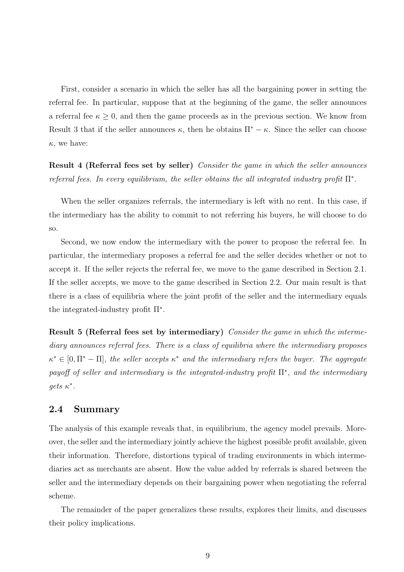First, consider a scenario in which the seller has all the bargaining power in setting the referral fee. In particular, suppose that at the beginning of the game, the seller announces a referral fee  $\kappa \geq 0$ , and then the game proceeds as in the previous section. We know from Result 3 that if the seller announces  $\kappa$ , then he obtains  $\Pi^* - \kappa$ . Since the seller can choose  $\kappa$ , we have:

Result 4 (Referral fees set by seller) *Consider the game in which the seller announces referral fees. In every equilibrium, the seller obtains the all integrated industry profit* Π<sup>∗</sup> *.*

When the seller organizes referrals, the intermediary is left with no rent. In this case, if the intermediary has the ability to commit to not referring his buyers, he will choose to do so.

Second, we now endow the intermediary with the power to propose the referral fee. In particular, the intermediary proposes a referral fee and the seller decides whether or not to accept it. If the seller rejects the referral fee, we move to the game described in Section 2.1. If the seller accepts, we move to the game described in Section 2.2. Our main result is that there is a class of equilibria where the joint profit of the seller and the intermediary equals the integrated-industry profit  $\Pi^*$ .

Result 5 (Referral fees set by intermediary) *Consider the game in which the intermediary announces referral fees. There is a class of equilibria where the intermediary proposes*  $\kappa^* \in [0, \Pi^* - \Pi]$ , the seller accepts  $\kappa^*$  and the intermediary refers the buyer. The aggregate *payoff of seller and intermediary is the integrated-industry profit* Π<sup>∗</sup> *, and the intermediary*  $gets \ \kappa^*$ .

### 2.4 Summary

The analysis of this example reveals that, in equilibrium, the agency model prevails. Moreover, the seller and the intermediary jointly achieve the highest possible profit available, given their information. Therefore, distortions typical of trading environments in which intermediaries act as merchants are absent. How the value added by referrals is shared between the seller and the intermediary depends on their bargaining power when negotiating the referral scheme.

The remainder of the paper generalizes these results, explores their limits, and discusses their policy implications.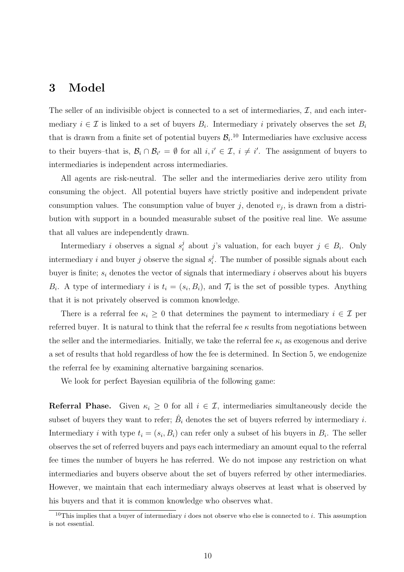## 3 Model

The seller of an indivisible object is connected to a set of intermediaries,  $\mathcal{I}$ , and each intermediary  $i \in \mathcal{I}$  is linked to a set of buyers  $B_i$ . Intermediary i privately observes the set  $B_i$ that is drawn from a finite set of potential buyers  $\mathcal{B}_i$ .<sup>10</sup> Intermediaries have exclusive access to their buyers–that is,  $\mathcal{B}_i \cap \mathcal{B}_{i'} = \emptyset$  for all  $i, i' \in \mathcal{I}, i \neq i'$ . The assignment of buyers to intermediaries is independent across intermediaries.

All agents are risk-neutral. The seller and the intermediaries derive zero utility from consuming the object. All potential buyers have strictly positive and independent private consumption values. The consumption value of buyer  $j$ , denoted  $v_j$ , is drawn from a distribution with support in a bounded measurable subset of the positive real line. We assume that all values are independently drawn.

Intermediary *i* observes a signal  $s_i^j$  $i_i$  about j's valuation, for each buyer  $j \in B_i$ . Only intermediary i and buyer j observe the signal  $s_i^j$  $i<sub>i</sub>$ . The number of possible signals about each buyer is finite;  $s_i$  denotes the vector of signals that intermediary i observes about his buyers  $B_i$ . A type of intermediary i is  $t_i = (s_i, B_i)$ , and  $\mathcal{T}_i$  is the set of possible types. Anything that it is not privately observed is common knowledge.

There is a referral fee  $\kappa_i \geq 0$  that determines the payment to intermediary  $i \in \mathcal{I}$  per referred buyer. It is natural to think that the referral fee  $\kappa$  results from negotiations between the seller and the intermediaries. Initially, we take the referral fee  $\kappa_i$  as exogenous and derive a set of results that hold regardless of how the fee is determined. In Section 5, we endogenize the referral fee by examining alternative bargaining scenarios.

We look for perfect Bayesian equilibria of the following game:

**Referral Phase.** Given  $\kappa_i \geq 0$  for all  $i \in \mathcal{I}$ , intermediaries simultaneously decide the subset of buyers they want to refer;  $\hat{B}_i$  denotes the set of buyers referred by intermediary i. Intermediary *i* with type  $t_i = (s_i, B_i)$  can refer only a subset of his buyers in  $B_i$ . The seller observes the set of referred buyers and pays each intermediary an amount equal to the referral fee times the number of buyers he has referred. We do not impose any restriction on what intermediaries and buyers observe about the set of buyers referred by other intermediaries. However, we maintain that each intermediary always observes at least what is observed by his buyers and that it is common knowledge who observes what.

<sup>&</sup>lt;sup>10</sup>This implies that a buyer of intermediary  $i$  does not observe who else is connected to  $i$ . This assumption is not essential.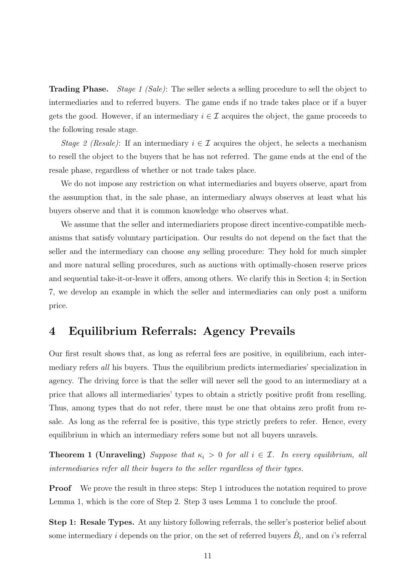Trading Phase. *Stage 1 (Sale)*: The seller selects a selling procedure to sell the object to intermediaries and to referred buyers. The game ends if no trade takes place or if a buyer gets the good. However, if an intermediary  $i \in \mathcal{I}$  acquires the object, the game proceeds to the following resale stage.

*Stage 2 (Resale)*: If an intermediary  $i \in \mathcal{I}$  acquires the object, he selects a mechanism to resell the object to the buyers that he has not referred. The game ends at the end of the resale phase, regardless of whether or not trade takes place.

We do not impose any restriction on what intermediaries and buyers observe, apart from the assumption that, in the sale phase, an intermediary always observes at least what his buyers observe and that it is common knowledge who observes what.

We assume that the seller and intermediariers propose direct incentive-compatible mechanisms that satisfy voluntary participation. Our results do not depend on the fact that the seller and the intermediary can choose *any* selling procedure: They hold for much simpler and more natural selling procedures, such as auctions with optimally-chosen reserve prices and sequential take-it-or-leave it offers, among others. We clarify this in Section 4; in Section 7, we develop an example in which the seller and intermediaries can only post a uniform price.

## 4 Equilibrium Referrals: Agency Prevails

Our first result shows that, as long as referral fees are positive, in equilibrium, each intermediary refers *all* his buyers. Thus the equilibrium predicts intermediaries' specialization in agency. The driving force is that the seller will never sell the good to an intermediary at a price that allows all intermediaries' types to obtain a strictly positive profit from reselling. Thus, among types that do not refer, there must be one that obtains zero profit from resale. As long as the referral fee is positive, this type strictly prefers to refer. Hence, every equilibrium in which an intermediary refers some but not all buyers unravels.

**Theorem 1 (Unraveling)** Suppose that  $\kappa_i > 0$  for all  $i \in \mathcal{I}$ . In every equilibrium, all *intermediaries refer all their buyers to the seller regardless of their types.*

Proof We prove the result in three steps: Step 1 introduces the notation required to prove Lemma 1, which is the core of Step 2. Step 3 uses Lemma 1 to conclude the proof.

Step 1: Resale Types. At any history following referrals, the seller's posterior belief about some intermediary i depends on the prior, on the set of referred buyers  $\hat{B}_i$ , and on i's referral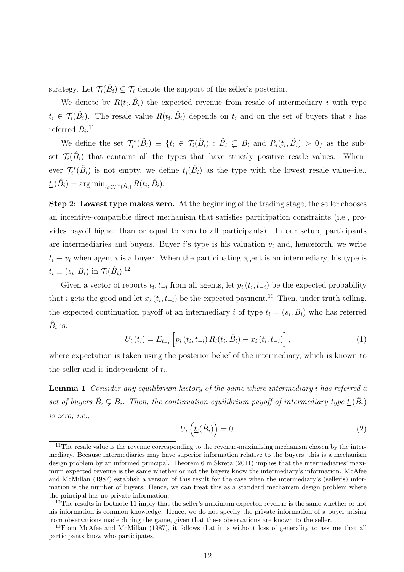strategy. Let  $\mathcal{T}_i(\hat{B}_i) \subseteq \mathcal{T}_i$  denote the support of the seller's posterior.

We denote by  $R(t_i, \hat{B}_i)$  the expected revenue from resale of intermediary i with type  $t_i \in \mathcal{T}_i(\hat{B}_i)$ . The resale value  $R(t_i, \hat{B}_i)$  depends on  $t_i$  and on the set of buyers that i has referred  $\hat{B}_i$ <sup>11</sup>

We define the set  $\mathcal{T}_{i}^{*}(\hat{B}_{i}) \equiv \{t_{i} \in \mathcal{T}_{i}(\hat{B}_{i}) : \hat{B}_{i} \subsetneq B_{i} \text{ and } R_{i}(t_{i}, \hat{B}_{i}) > 0\}$  as the subset  $\mathcal{T}_i(\hat{B}_i)$  that contains all the types that have strictly positive resale values. Whenever  $\mathcal{T}_{i}^{*}(\hat{B}_{i})$  is not empty, we define  $\underline{t}_{i}(\hat{B}_{i})$  as the type with the lowest resale value–i.e.,  $t_i(\hat{B}_i) = \arg \min_{t_i \in \mathcal{T}_i^*(\hat{B}_i)} R(t_i, \hat{B}_i).$ 

Step 2: Lowest type makes zero. At the beginning of the trading stage, the seller chooses an incentive-compatible direct mechanism that satisfies participation constraints (i.e., provides payoff higher than or equal to zero to all participants). In our setup, participants are intermediaries and buyers. Buyer i's type is his valuation  $v_i$  and, henceforth, we write  $t_i \equiv v_i$  when agent i is a buyer. When the participating agent is an intermediary, his type is  $t_i \equiv (s_i, B_i)$  in  $\mathcal{T}_i(\hat{B}_i)$ .<sup>12</sup>

Given a vector of reports  $t_i, t_{-i}$  from all agents, let  $p_i(t_i, t_{-i})$  be the expected probability that i gets the good and let  $x_i(t_i, t_{-i})$  be the expected payment.<sup>13</sup> Then, under truth-telling, the expected continuation payoff of an intermediary i of type  $t_i = (s_i, B_i)$  who has referred  $\hat{B}_i$  is:

$$
U_i(t_i) = E_{t_{-i}} \left[ p_i(t_i, t_{-i}) R_i(t_i, \hat{B}_i) - x_i(t_i, t_{-i}) \right],
$$
\n(1)

where expectation is taken using the posterior belief of the intermediary, which is known to the seller and is independent of  $t_i$ .

Lemma 1 *Consider any equilibrium history of the game where intermediary* i *has referred a* set of buyers  $\hat{B}_i \subsetneq B_i$ . Then, the continuation equilibrium payoff of intermediary type  $\underline{t}_i(\hat{B}_i)$ *is zero; i.e.,*

$$
U_i\left(\underline{t}_i(\hat{B}_i)\right) = 0.\tag{2}
$$

<sup>&</sup>lt;sup>11</sup>The resale value is the revenue corresponding to the revenue-maximizing mechanism chosen by the intermediary. Because intermediaries may have superior information relative to the buyers, this is a mechanism design problem by an informed principal. Theorem 6 in Skreta (2011) implies that the intermediaries' maximum expected revenue is the same whether or not the buyers know the intermediary's information. McAfee and McMillan (1987) establish a version of this result for the case when the intermediary's (seller's) information is the number of buyers. Hence, we can treat this as a standard mechanism design problem where the principal has no private information.

<sup>&</sup>lt;sup>12</sup>The results in footnote 11 imply that the seller's maximum expected revenue is the same whether or not his information is common knowledge. Hence, we do not specify the private information of a buyer arising from observations made during the game, given that these observations are known to the seller.

<sup>&</sup>lt;sup>13</sup>From McAfee and McMillan (1987), it follows that it is without loss of generality to assume that all participants know who participates.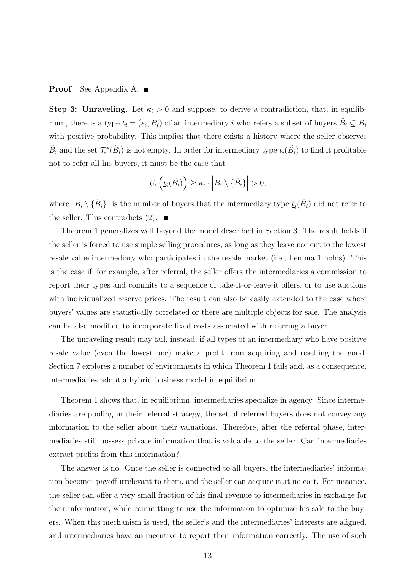#### **Proof** See Appendix A. ■

Step 3: Unraveling. Let  $\kappa_i > 0$  and suppose, to derive a contradiction, that, in equilibrium, there is a type  $t_i = (s_i, B_i)$  of an intermediary i who refers a subset of buyers  $\hat{B}_i \subsetneq B_i$ with positive probability. This implies that there exists a history where the seller observes  $\hat{B}_i$  and the set  $\mathcal{T}_i^*(\hat{B}_i)$  is not empty. In order for intermediary type  $\underline{t}_i(\hat{B}_i)$  to find it profitable not to refer all his buyers, it must be the case that

$$
U_i\left(\underline{t}_i(\hat{B}_i)\right) \geq \kappa_i \cdot \left|B_i \setminus \{\hat{B}_i\}\right| > 0,
$$

where  $B_i \setminus {\hat{B_i}}$ is the number of buyers that the intermediary type  $\underline{t}_i(\hat{B}_i)$  did not refer to the seller. This contradicts (2).

Theorem 1 generalizes well beyond the model described in Section 3. The result holds if the seller is forced to use simple selling procedures, as long as they leave no rent to the lowest resale value intermediary who participates in the resale market (i.e., Lemma 1 holds). This is the case if, for example, after referral, the seller offers the intermediaries a commission to report their types and commits to a sequence of take-it-or-leave-it offers, or to use auctions with individualized reserve prices. The result can also be easily extended to the case where buyers' values are statistically correlated or there are multiple objects for sale. The analysis can be also modified to incorporate fixed costs associated with referring a buyer.

The unraveling result may fail, instead, if all types of an intermediary who have positive resale value (even the lowest one) make a profit from acquiring and reselling the good. Section 7 explores a number of environments in which Theorem 1 fails and, as a consequence, intermediaries adopt a hybrid business model in equilibrium.

Theorem 1 shows that, in equilibrium, intermediaries specialize in agency. Since intermediaries are pooling in their referral strategy, the set of referred buyers does not convey any information to the seller about their valuations. Therefore, after the referral phase, intermediaries still possess private information that is valuable to the seller. Can intermediaries extract profits from this information?

The answer is no. Once the seller is connected to all buyers, the intermediaries' information becomes payoff-irrelevant to them, and the seller can acquire it at no cost. For instance, the seller can offer a very small fraction of his final revenue to intermediaries in exchange for their information, while committing to use the information to optimize his sale to the buyers. When this mechanism is used, the seller's and the intermediaries' interests are aligned, and intermediaries have an incentive to report their information correctly. The use of such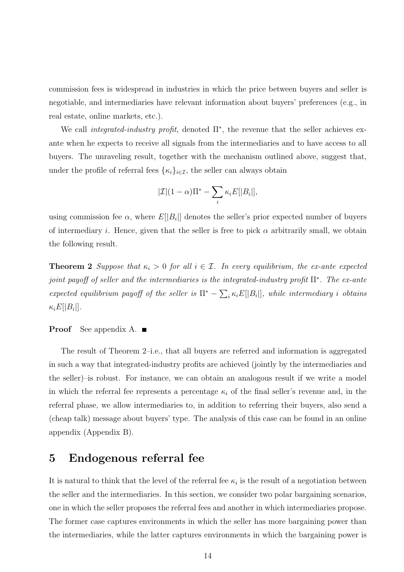commission fees is widespread in industries in which the price between buyers and seller is negotiable, and intermediaries have relevant information about buyers' preferences (e.g., in real estate, online markets, etc.).

We call *integrated-industry profit*, denoted Π<sup>∗</sup> , the revenue that the seller achieves exante when he expects to receive all signals from the intermediaries and to have access to all buyers. The unraveling result, together with the mechanism outlined above, suggest that, under the profile of referral fees  $\{\kappa_i\}_{i\in\mathcal{I}}$ , the seller can always obtain

$$
|\mathcal{I}|(1-\alpha)\Pi^* - \sum_i \kappa_i E[|B_i|],
$$

using commission fee  $\alpha$ , where  $E[|B_i|]$  denotes the seller's prior expected number of buyers of intermediary i. Hence, given that the seller is free to pick  $\alpha$  arbitrarily small, we obtain the following result.

**Theorem 2** *Suppose that*  $\kappa_i > 0$  *for all*  $i \in \mathcal{I}$ *. In every equilibrium, the ex-ante expected joint payoff of seller and the intermediaries is the integrated-industry profit* Π<sup>∗</sup> *. The ex-ante* expected equilibrium payoff of the seller is  $\Pi^* - \sum_i \kappa_i E[|B_i|]$ , while intermediary *i* obtains  $\kappa_i E[|B_i|]$ .

#### **Proof** See appendix A.  $\blacksquare$

The result of Theorem 2–i.e., that all buyers are referred and information is aggregated in such a way that integrated-industry profits are achieved (jointly by the intermediaries and the seller)–is robust. For instance, we can obtain an analogous result if we write a model in which the referral fee represents a percentage  $\kappa_i$  of the final seller's revenue and, in the referral phase, we allow intermediaries to, in addition to referring their buyers, also send a (cheap talk) message about buyers' type. The analysis of this case can be found in an online appendix (Appendix B).

## 5 Endogenous referral fee

It is natural to think that the level of the referral fee  $\kappa_i$  is the result of a negotiation between the seller and the intermediaries. In this section, we consider two polar bargaining scenarios, one in which the seller proposes the referral fees and another in which intermediaries propose. The former case captures environments in which the seller has more bargaining power than the intermediaries, while the latter captures environments in which the bargaining power is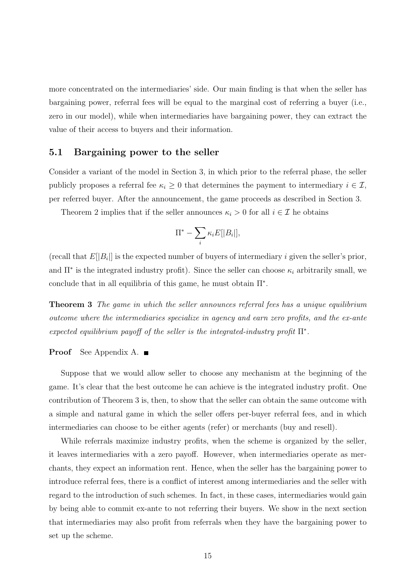more concentrated on the intermediaries' side. Our main finding is that when the seller has bargaining power, referral fees will be equal to the marginal cost of referring a buyer (i.e., zero in our model), while when intermediaries have bargaining power, they can extract the value of their access to buyers and their information.

### 5.1 Bargaining power to the seller

Consider a variant of the model in Section 3, in which prior to the referral phase, the seller publicly proposes a referral fee  $\kappa_i \geq 0$  that determines the payment to intermediary  $i \in \mathcal{I}$ , per referred buyer. After the announcement, the game proceeds as described in Section 3.

Theorem 2 implies that if the seller announces  $\kappa_i > 0$  for all  $i \in \mathcal{I}$  he obtains

$$
\Pi^* - \sum_i \kappa_i E[|B_i|],
$$

(recall that  $E[|B_i|]$  is the expected number of buyers of intermediary i given the seller's prior, and  $\Pi^*$  is the integrated industry profit). Since the seller can choose  $\kappa_i$  arbitrarily small, we conclude that in all equilibria of this game, he must obtain  $\Pi^*$ .

Theorem 3 *The game in which the seller announces referral fees has a unique equilibrium outcome where the intermediaries specialize in agency and earn zero profits, and the ex-ante expected equilibrium payoff of the seller is the integrated-industry profit* Π<sup>∗</sup> *.*

#### Proof See Appendix A. ■

Suppose that we would allow seller to choose any mechanism at the beginning of the game. It's clear that the best outcome he can achieve is the integrated industry profit. One contribution of Theorem 3 is, then, to show that the seller can obtain the same outcome with a simple and natural game in which the seller offers per-buyer referral fees, and in which intermediaries can choose to be either agents (refer) or merchants (buy and resell).

While referrals maximize industry profits, when the scheme is organized by the seller, it leaves intermediaries with a zero payoff. However, when intermediaries operate as merchants, they expect an information rent. Hence, when the seller has the bargaining power to introduce referral fees, there is a conflict of interest among intermediaries and the seller with regard to the introduction of such schemes. In fact, in these cases, intermediaries would gain by being able to commit ex-ante to not referring their buyers. We show in the next section that intermediaries may also profit from referrals when they have the bargaining power to set up the scheme.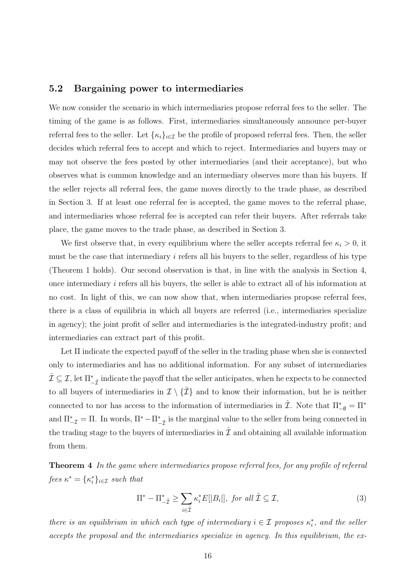### 5.2 Bargaining power to intermediaries

We now consider the scenario in which intermediaries propose referral fees to the seller. The timing of the game is as follows. First, intermediaries simultaneously announce per-buyer referral fees to the seller. Let  $\{\kappa_i\}_{i\in\mathcal{I}}$  be the profile of proposed referral fees. Then, the seller decides which referral fees to accept and which to reject. Intermediaries and buyers may or may not observe the fees posted by other intermediaries (and their acceptance), but who observes what is common knowledge and an intermediary observes more than his buyers. If the seller rejects all referral fees, the game moves directly to the trade phase, as described in Section 3. If at least one referral fee is accepted, the game moves to the referral phase, and intermediaries whose referral fee is accepted can refer their buyers. After referrals take place, the game moves to the trade phase, as described in Section 3.

We first observe that, in every equilibrium where the seller accepts referral fee  $\kappa_i > 0$ , it must be the case that intermediary i refers all his buyers to the seller, regardless of his type (Theorem 1 holds). Our second observation is that, in line with the analysis in Section 4, once intermediary i refers all his buyers, the seller is able to extract all of his information at no cost. In light of this, we can now show that, when intermediaries propose referral fees, there is a class of equilibria in which all buyers are referred (i.e., intermediaries specialize in agency); the joint profit of seller and intermediaries is the integrated-industry profit; and intermediaries can extract part of this profit.

Let Π indicate the expected payoff of the seller in the trading phase when she is connected only to intermediaries and has no additional information. For any subset of intermediaries  $\hat{\mathcal{I}}\subseteq\mathcal{I},$  let  $\Pi_{-\hat{\mathcal{I}}}^*$  indicate the payoff that the seller anticipates, when he expects to be connected to all buyers of intermediaries in  $\mathcal{I} \setminus \{ \mathcal{I} \}$  and to know their information, but he is neither connected to nor has access to the information of intermediaries in  $\hat{\mathcal{I}}$ . Note that  $\Pi_{-\varnothing}^* = \Pi^*$ and  $\Pi^*_{-\mathcal{I}}=\Pi$ . In words,  $\Pi^*-\Pi^*_{-\hat{\mathcal{I}}}$  is the marginal value to the seller from being connected in the trading stage to the buyers of intermediaries in  $\hat{\mathcal{I}}$  and obtaining all available information from them.

Theorem 4 *In the game where intermediaries propose referral fees, for any profile of referral*  $fees \; \kappa^* = {\kappa_i^*}_{i \in \mathcal{I}} \; such \; that$ 

$$
\Pi^* - \Pi_{-\hat{\mathcal{I}}}^* \ge \sum_{i \in \hat{\mathcal{I}}} \kappa_i^* E[|B_i|], \text{ for all } \hat{\mathcal{I}} \subseteq \mathcal{I}, \tag{3}
$$

*there is an equilibrium in which each type of intermediary*  $i \in \mathcal{I}$  *proposes*  $\kappa_i^*$ *, and the seller accepts the proposal and the intermediaries specialize in agency. In this equilibrium, the ex-*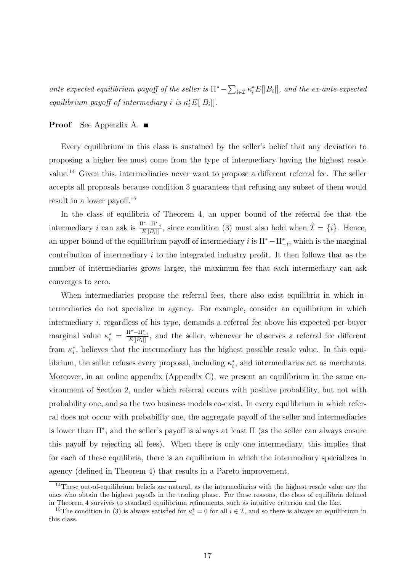ante expected equilibrium payoff of the seller is  $\Pi^* - \sum_{i \in \hat{\mathcal{I}}} \kappa_i^* E[|B_i|]$ , and the ex-ante expected *equilibrium payoff of intermediary i is*  $\kappa_i^* E[|B_i|]$ *.* 

#### **Proof** See Appendix A. ■

Every equilibrium in this class is sustained by the seller's belief that any deviation to proposing a higher fee must come from the type of intermediary having the highest resale value.<sup>14</sup> Given this, intermediaries never want to propose a different referral fee. The seller accepts all proposals because condition 3 guarantees that refusing any subset of them would result in a lower payoff.<sup>15</sup>

In the class of equilibria of Theorem 4, an upper bound of the referral fee that the intermediary *i* can ask is  $\frac{\Pi^* - \Pi^*_{-i}}{E[\|R_i\|]}$  $\frac{\hat{I}^* - I I^*_{-i}}{E[|B_i|]},$  since condition (3) must also hold when  $\hat{\mathcal{I}} = \{i\}.$  Hence, an upper bound of the equilibrium payoff of intermediary i is  $\Pi^* - \Pi^*_{-i}$ , which is the marginal contribution of intermediary i to the integrated industry profit. It then follows that as the number of intermediaries grows larger, the maximum fee that each intermediary can ask converges to zero.

When intermediaries propose the referral fees, there also exist equilibria in which intermediaries do not specialize in agency. For example, consider an equilibrium in which intermediary i, regardless of his type, demands a referral fee above his expected per-buyer marginal value  $\kappa_i^* = \frac{\Pi^* - \Pi_{-i}^*}{E[|B_i|]}$  $\frac{1-\mathbf{H}_{i}}{E[|B_i|]},$  and the seller, whenever he observes a referral fee different from  $\kappa_i^*$ , believes that the intermediary has the highest possible resale value. In this equilibrium, the seller refuses every proposal, including  $\kappa_i^*$ , and intermediaries act as merchants. Moreover, in an online appendix (Appendix C), we present an equilibrium in the same environment of Section 2, under which referral occurs with positive probability, but not with probability one, and so the two business models co-exist. In every equilibrium in which referral does not occur with probability one, the aggregate payoff of the seller and intermediaries is lower than  $\Pi^*$ , and the seller's payoff is always at least  $\Pi$  (as the seller can always ensure this payoff by rejecting all fees). When there is only one intermediary, this implies that for each of these equilibria, there is an equilibrium in which the intermediary specializes in agency (defined in Theorem 4) that results in a Pareto improvement.

<sup>&</sup>lt;sup>14</sup>These out-of-equilibrium beliefs are natural, as the intermediaries with the highest resale value are the ones who obtain the highest payoffs in the trading phase. For these reasons, the class of equilibria defined in Theorem 4 survives to standard equilibrium refinements, such as intuitive criterion and the like.

<sup>&</sup>lt;sup>15</sup>The condition in (3) is always satisfied for  $\kappa_i^* = 0$  for all  $i \in \mathcal{I}$ , and so there is always an equilibrium in this class.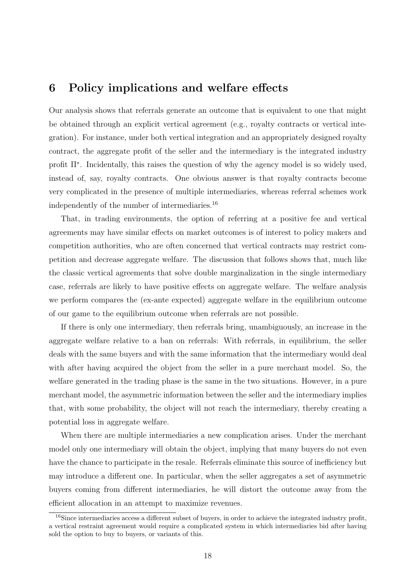## 6 Policy implications and welfare effects

Our analysis shows that referrals generate an outcome that is equivalent to one that might be obtained through an explicit vertical agreement (e.g., royalty contracts or vertical integration). For instance, under both vertical integration and an appropriately designed royalty contract, the aggregate profit of the seller and the intermediary is the integrated industry profit Π<sup>∗</sup> . Incidentally, this raises the question of why the agency model is so widely used, instead of, say, royalty contracts. One obvious answer is that royalty contracts become very complicated in the presence of multiple intermediaries, whereas referral schemes work independently of the number of intermediaries.<sup>16</sup>

That, in trading environments, the option of referring at a positive fee and vertical agreements may have similar effects on market outcomes is of interest to policy makers and competition authorities, who are often concerned that vertical contracts may restrict competition and decrease aggregate welfare. The discussion that follows shows that, much like the classic vertical agreements that solve double marginalization in the single intermediary case, referrals are likely to have positive effects on aggregate welfare. The welfare analysis we perform compares the (ex-ante expected) aggregate welfare in the equilibrium outcome of our game to the equilibrium outcome when referrals are not possible.

If there is only one intermediary, then referrals bring, unambiguously, an increase in the aggregate welfare relative to a ban on referrals: With referrals, in equilibrium, the seller deals with the same buyers and with the same information that the intermediary would deal with after having acquired the object from the seller in a pure merchant model. So, the welfare generated in the trading phase is the same in the two situations. However, in a pure merchant model, the asymmetric information between the seller and the intermediary implies that, with some probability, the object will not reach the intermediary, thereby creating a potential loss in aggregate welfare.

When there are multiple intermediaries a new complication arises. Under the merchant model only one intermediary will obtain the object, implying that many buyers do not even have the chance to participate in the resale. Referrals eliminate this source of inefficiency but may introduce a different one. In particular, when the seller aggregates a set of asymmetric buyers coming from different intermediaries, he will distort the outcome away from the efficient allocation in an attempt to maximize revenues.

 $16$ Since intermediaries access a different subset of buyers, in order to achieve the integrated industry profit, a vertical restraint agreement would require a complicated system in which intermediaries bid after having sold the option to buy to buyers, or variants of this.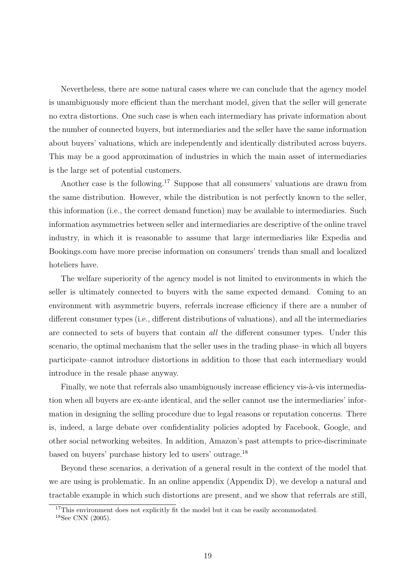Nevertheless, there are some natural cases where we can conclude that the agency model is unambiguously more efficient than the merchant model, given that the seller will generate no extra distortions. One such case is when each intermediary has private information about the number of connected buyers, but intermediaries and the seller have the same information about buyers' valuations, which are independently and identically distributed across buyers. This may be a good approximation of industries in which the main asset of intermediaries is the large set of potential customers.

Another case is the following.<sup>17</sup> Suppose that all consumers' valuations are drawn from the same distribution. However, while the distribution is not perfectly known to the seller, this information (i.e., the correct demand function) may be available to intermediaries. Such information asymmetries between seller and intermediaries are descriptive of the online travel industry, in which it is reasonable to assume that large intermediaries like Expedia and Bookings.com have more precise information on consumers' trends than small and localized hoteliers have.

The welfare superiority of the agency model is not limited to environments in which the seller is ultimately connected to buyers with the same expected demand. Coming to an environment with asymmetric buyers, referrals increase efficiency if there are a number of different consumer types (i.e., different distributions of valuations), and all the intermediaries are connected to sets of buyers that contain *all* the different consumer types. Under this scenario, the optimal mechanism that the seller uses in the trading phase–in which all buyers participate–cannot introduce distortions in addition to those that each intermediary would introduce in the resale phase anyway.

Finally, we note that referrals also unambiguously increase efficiency vis- $\alpha$ -vis intermediation when all buyers are ex-ante identical, and the seller cannot use the intermediaries' information in designing the selling procedure due to legal reasons or reputation concerns. There is, indeed, a large debate over confidentiality policies adopted by Facebook, Google, and other social networking websites. In addition, Amazon's past attempts to price-discriminate based on buyers' purchase history led to users' outrage.<sup>18</sup>

Beyond these scenarios, a derivation of a general result in the context of the model that we are using is problematic. In an online appendix (Appendix D), we develop a natural and tractable example in which such distortions are present, and we show that referrals are still,

 $17$ This environment does not explicitly fit the model but it can be easily accommodated.

<sup>18</sup>See CNN (2005).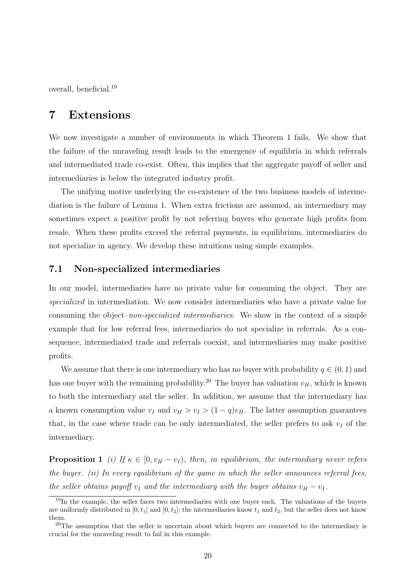overall, beneficial.<sup>19</sup>

## 7 Extensions

We now investigate a number of environments in which Theorem 1 fails. We show that the failure of the unraveling result leads to the emergence of equilibria in which referrals and intermediated trade co-exist. Often, this implies that the aggregate payoff of seller and intermediaries is below the integrated industry profit.

The unifying motive underlying the co-existence of the two business models of intermediation is the failure of Lemma 1. When extra frictions are assumed, an intermediary may sometimes expect a positive profit by not referring buyers who generate high profits from resale. When these profits exceed the referral payments, in equilibrium, intermediaries do not specialize in agency. We develop these intuitions using simple examples.

### 7.1 Non-specialized intermediaries

In our model, intermediaries have no private value for consuming the object. They are *specialized* in intermediation. We now consider intermediaries who have a private value for consuming the object–*non-specialized intermediaries*. We show in the context of a simple example that for low referral fees, intermediaries do not specialize in referrals. As a consequence, intermediated trade and referrals coexist, and intermediaries may make positive profits.

We assume that there is one intermediary who has no buyer with probability  $q \in (0,1)$  and has one buyer with the remaining probability.<sup>20</sup> The buyer has valuation  $v_H$ , which is known to both the intermediary and the seller. In addition, we assume that the intermediary has a known consumption value  $v_I$  and  $v_H > v_I > (1 - q)v_H$ . The latter assumption guarantees that, in the case where trade can be only intermediated, the seller prefers to ask  $v_I$  of the intermediary.

**Proposition 1** *(i)* If  $\kappa \in [0, v_H - v_I)$ , then, in equilibrium, the intermediary never refers *the buyer. (ii) In every equilibrium of the game in which the seller announces referral fees, the seller obtains payoff*  $v_I$  *and the intermediary with the buyer obtains*  $v_H - v_I$ *.* 

<sup>&</sup>lt;sup>19</sup>In the example, the seller faces two intermediaries with one buyer each. The valuations of the buyers are uniformly distributed in  $[0, t_1]$  and  $[0, t_2]$ ; the intermediaries know  $t_1$  and  $t_2$ , but the seller does not know them.

 $20$ The assumption that the seller is uncertain about which buyers are connected to the intermediary is crucial for the unraveling result to fail in this example.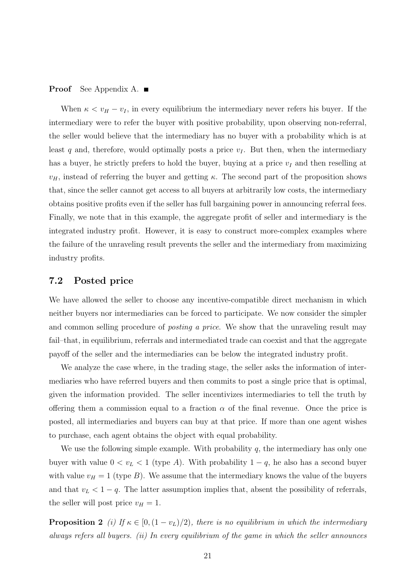#### **Proof** See Appendix A. ■

When  $\kappa < v_H - v_I$ , in every equilibrium the intermediary never refers his buyer. If the intermediary were to refer the buyer with positive probability, upon observing non-referral, the seller would believe that the intermediary has no buyer with a probability which is at least q and, therefore, would optimally posts a price  $v_I$ . But then, when the intermediary has a buyer, he strictly prefers to hold the buyer, buying at a price  $v_I$  and then reselling at  $v_H$ , instead of referring the buyer and getting  $\kappa$ . The second part of the proposition shows that, since the seller cannot get access to all buyers at arbitrarily low costs, the intermediary obtains positive profits even if the seller has full bargaining power in announcing referral fees. Finally, we note that in this example, the aggregate profit of seller and intermediary is the integrated industry profit. However, it is easy to construct more-complex examples where the failure of the unraveling result prevents the seller and the intermediary from maximizing industry profits.

### 7.2 Posted price

We have allowed the seller to choose any incentive-compatible direct mechanism in which neither buyers nor intermediaries can be forced to participate. We now consider the simpler and common selling procedure of *posting a price*. We show that the unraveling result may fail–that, in equilibrium, referrals and intermediated trade can coexist and that the aggregate payoff of the seller and the intermediaries can be below the integrated industry profit.

We analyze the case where, in the trading stage, the seller asks the information of intermediaries who have referred buyers and then commits to post a single price that is optimal, given the information provided. The seller incentivizes intermediaries to tell the truth by offering them a commission equal to a fraction  $\alpha$  of the final revenue. Once the price is posted, all intermediaries and buyers can buy at that price. If more than one agent wishes to purchase, each agent obtains the object with equal probability.

We use the following simple example. With probability  $q$ , the intermediary has only one buyer with value  $0 < v_L < 1$  (type A). With probability  $1 - q$ , he also has a second buyer with value  $v_H = 1$  (type B). We assume that the intermediary knows the value of the buyers and that  $v_L < 1 - q$ . The latter assumption implies that, absent the possibility of referrals, the seller will post price  $v_H = 1$ .

**Proposition 2** *(i)* If  $\kappa \in [0, (1 - v_L)/2)$ *, there is no equilibrium in which the intermediary always refers all buyers. (ii) In every equilibrium of the game in which the seller announces*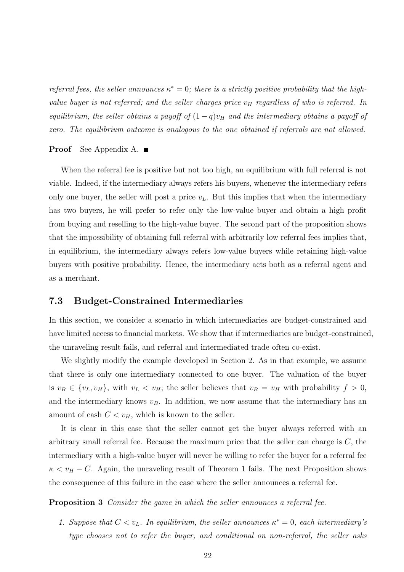*referral fees, the seller announces*  $\kappa^* = 0$ ; there is a strictly positive probability that the high*value buyer is not referred; and the seller charges price*  $v_H$  *regardless of who is referred. In equilibrium, the seller obtains a payoff of*  $(1-q)v_H$  *and the intermediary obtains a payoff of zero. The equilibrium outcome is analogous to the one obtained if referrals are not allowed.*

#### **Proof** See Appendix A. ■

When the referral fee is positive but not too high, an equilibrium with full referral is not viable. Indeed, if the intermediary always refers his buyers, whenever the intermediary refers only one buyer, the seller will post a price  $v<sub>L</sub>$ . But this implies that when the intermediary has two buyers, he will prefer to refer only the low-value buyer and obtain a high profit from buying and reselling to the high-value buyer. The second part of the proposition shows that the impossibility of obtaining full referral with arbitrarily low referral fees implies that, in equilibrium, the intermediary always refers low-value buyers while retaining high-value buyers with positive probability. Hence, the intermediary acts both as a referral agent and as a merchant.

### 7.3 Budget-Constrained Intermediaries

In this section, we consider a scenario in which intermediaries are budget-constrained and have limited access to financial markets. We show that if intermediaries are budget-constrained, the unraveling result fails, and referral and intermediated trade often co-exist.

We slightly modify the example developed in Section 2. As in that example, we assume that there is only one intermediary connected to one buyer. The valuation of the buyer is  $v_B \in \{v_L, v_H\}$ , with  $v_L < v_H$ ; the seller believes that  $v_B = v_H$  with probability  $f > 0$ , and the intermediary knows  $v_B$ . In addition, we now assume that the intermediary has an amount of cash  $C < v_H$ , which is known to the seller.

It is clear in this case that the seller cannot get the buyer always referred with an arbitrary small referral fee. Because the maximum price that the seller can charge is  $C$ , the intermediary with a high-value buyer will never be willing to refer the buyer for a referral fee  $\kappa < v_H - C$ . Again, the unraveling result of Theorem 1 fails. The next Proposition shows the consequence of this failure in the case where the seller announces a referral fee.

Proposition 3 *Consider the game in which the seller announces a referral fee.*

*1. Suppose that*  $C < v_L$ . In equilibrium, the seller announces  $\kappa^* = 0$ , each intermediary's *type chooses not to refer the buyer, and conditional on non-referral, the seller asks*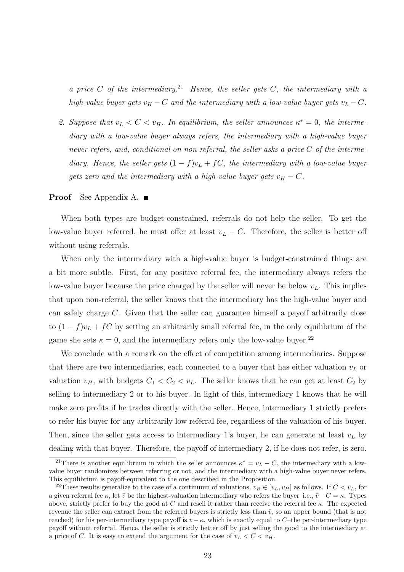*a price* C *of the intermediary.*<sup>21</sup> *Hence, the seller gets* C*, the intermediary with a high-value buyer gets*  $v_H - C$  *and the intermediary with a low-value buyer gets*  $v_L - C$ *.* 

2. Suppose that  $v_L < C < v_H$ . In equilibrium, the seller announces  $\kappa^* = 0$ , the interme*diary with a low-value buyer always refers, the intermediary with a high-value buyer never refers, and, conditional on non-referral, the seller asks a price* C *of the intermediary. Hence, the seller gets*  $(1 - f)v_L + fC$ *, the intermediary with a low-value buyer gets zero and the intermediary with a high-value buyer gets*  $v_H - C$ *.* 

#### **Proof** See Appendix A. ■

When both types are budget-constrained, referrals do not help the seller. To get the low-value buyer referred, he must offer at least  $v_L - C$ . Therefore, the seller is better off without using referrals.

When only the intermediary with a high-value buyer is budget-constrained things are a bit more subtle. First, for any positive referral fee, the intermediary always refers the low-value buyer because the price charged by the seller will never be below  $v_L$ . This implies that upon non-referral, the seller knows that the intermediary has the high-value buyer and can safely charge C. Given that the seller can guarantee himself a payoff arbitrarily close to  $(1-f)v_L + fC$  by setting an arbitrarily small referral fee, in the only equilibrium of the game she sets  $\kappa = 0$ , and the intermediary refers only the low-value buyer.<sup>22</sup>

We conclude with a remark on the effect of competition among intermediaries. Suppose that there are two intermediaries, each connected to a buyer that has either valuation  $v<sub>L</sub>$  or valuation  $v_H$ , with budgets  $C_1 < C_2 < v_L$ . The seller knows that he can get at least  $C_2$  by selling to intermediary 2 or to his buyer. In light of this, intermediary 1 knows that he will make zero profits if he trades directly with the seller. Hence, intermediary 1 strictly prefers to refer his buyer for any arbitrarily low referral fee, regardless of the valuation of his buyer. Then, since the seller gets access to intermediary 1's buyer, he can generate at least  $v_L$  by dealing with that buyer. Therefore, the payoff of intermediary 2, if he does not refer, is zero.

<sup>&</sup>lt;sup>21</sup>There is another equilibrium in which the seller announces  $\kappa^* = v_L - C$ , the intermediary with a lowvalue buyer randomizes between referring or not, and the intermediary with a high-value buyer never refers. This equilibrium is payoff-equivalent to the one described in the Proposition.

<sup>&</sup>lt;sup>22</sup>These results generalize to the case of a continuum of valuations,  $v_B \in [v_L, v_H]$  as follows. If  $C < v_L$ , for a given referral fee κ, let  $\bar{v}$  be the highest-valuation intermediary who refers the buyer–i.e.,  $\bar{v}$  –  $C = \kappa$ . Types above, strictly prefer to buy the good at C and resell it rather than receive the referral fee  $\kappa$ . The expected revenue the seller can extract from the referred buyers is strictly less than  $\bar{v}$ , so an upper bound (that is not reached) for his per-intermediary type payoff is  $\bar{v} - \kappa$ , which is exactly equal to C–the per-intermediary type payoff without referral. Hence, the seller is strictly better off by just selling the good to the intermediary at a price of C. It is easy to extend the argument for the case of  $v_L < C < v_H$ .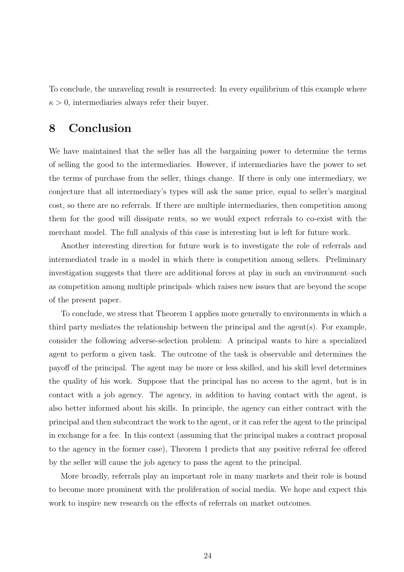To conclude, the unraveling result is resurrected: In every equilibrium of this example where  $\kappa > 0$ , intermediaries always refer their buyer.

## 8 Conclusion

We have maintained that the seller has all the bargaining power to determine the terms of selling the good to the intermediaries. However, if intermediaries have the power to set the terms of purchase from the seller, things change. If there is only one intermediary, we conjecture that all intermediary's types will ask the same price, equal to seller's marginal cost, so there are no referrals. If there are multiple intermediaries, then competition among them for the good will dissipate rents, so we would expect referrals to co-exist with the merchant model. The full analysis of this case is interesting but is left for future work.

Another interesting direction for future work is to investigate the role of referrals and intermediated trade in a model in which there is competition among sellers. Preliminary investigation suggests that there are additional forces at play in such an environment–such as competition among multiple principals–which raises new issues that are beyond the scope of the present paper.

To conclude, we stress that Theorem 1 applies more generally to environments in which a third party mediates the relationship between the principal and the agent(s). For example, consider the following adverse-selection problem: A principal wants to hire a specialized agent to perform a given task. The outcome of the task is observable and determines the payoff of the principal. The agent may be more or less skilled, and his skill level determines the quality of his work. Suppose that the principal has no access to the agent, but is in contact with a job agency. The agency, in addition to having contact with the agent, is also better informed about his skills. In principle, the agency can either contract with the principal and then subcontract the work to the agent, or it can refer the agent to the principal in exchange for a fee. In this context (assuming that the principal makes a contract proposal to the agency in the former case), Theorem 1 predicts that any positive referral fee offered by the seller will cause the job agency to pass the agent to the principal.

More broadly, referrals play an important role in many markets and their role is bound to become more prominent with the proliferation of social media. We hope and expect this work to inspire new research on the effects of referrals on market outcomes.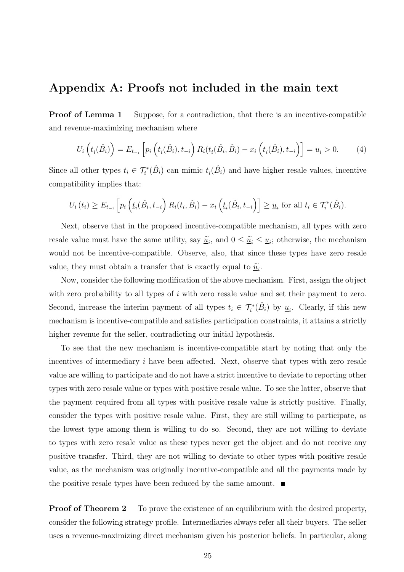## Appendix A: Proofs not included in the main text

**Proof of Lemma 1** Suppose, for a contradiction, that there is an incentive-compatible and revenue-maximizing mechanism where

$$
U_i\left(\underline{t}_i(\hat{B}_i)\right) = E_{t_{-i}}\left[p_i\left(\underline{t}_i(\hat{B}_i), t_{-i}\right)R_i(\underline{t}_i(\hat{B}_i, \hat{B}_i) - x_i\left(\underline{t}_i(\hat{B}_i), t_{-i}\right)\right] = \underline{u}_i > 0. \tag{4}
$$

Since all other types  $t_i \in \mathcal{T}_i^*(\hat{B}_i)$  can mimic  $\underline{t}_i(\hat{B}_i)$  and have higher resale values, incentive compatibility implies that:

$$
U_i(t_i) \ge E_{t_{-i}} \left[ p_i \left( \underline{t}_i(\hat{B}_i, t_{-i}) R_i(t_i, \hat{B}_i) - x_i \left( \underline{t}_i(\hat{B}_i, t_{-i}) \right) \right] \ge \underline{u}_i \text{ for all } t_i \in \mathcal{T}_i^*(\hat{B}_i).
$$

Next, observe that in the proposed incentive-compatible mechanism, all types with zero resale value must have the same utility, say  $\tilde{u}_i$ , and  $0 \le \tilde{u}_i \le u_i$ ; otherwise, the mechanism would not be incentive-compatible. Observe, also, that since these types have zero resale value, they must obtain a transfer that is exactly equal to  $\tilde{\underline{u}}_i$ .

Now, consider the following modification of the above mechanism. First, assign the object with zero probability to all types of  $i$  with zero resale value and set their payment to zero. Second, increase the interim payment of all types  $t_i \in \mathcal{T}_i^*(\hat{B}_i)$  by  $\underline{u}_i$ . Clearly, if this new mechanism is incentive-compatible and satisfies participation constraints, it attains a strictly higher revenue for the seller, contradicting our initial hypothesis.

To see that the new mechanism is incentive-compatible start by noting that only the incentives of intermediary i have been affected. Next, observe that types with zero resale value are willing to participate and do not have a strict incentive to deviate to reporting other types with zero resale value or types with positive resale value. To see the latter, observe that the payment required from all types with positive resale value is strictly positive. Finally, consider the types with positive resale value. First, they are still willing to participate, as the lowest type among them is willing to do so. Second, they are not willing to deviate to types with zero resale value as these types never get the object and do not receive any positive transfer. Third, they are not willing to deviate to other types with positive resale value, as the mechanism was originally incentive-compatible and all the payments made by the positive resale types have been reduced by the same amount.  $\blacksquare$ 

**Proof of Theorem 2** To prove the existence of an equilibrium with the desired property, consider the following strategy profile. Intermediaries always refer all their buyers. The seller uses a revenue-maximizing direct mechanism given his posterior beliefs. In particular, along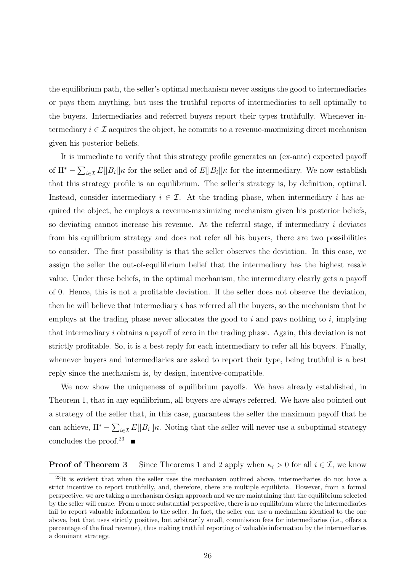the equilibrium path, the seller's optimal mechanism never assigns the good to intermediaries or pays them anything, but uses the truthful reports of intermediaries to sell optimally to the buyers. Intermediaries and referred buyers report their types truthfully. Whenever intermediary  $i \in \mathcal{I}$  acquires the object, he commits to a revenue-maximizing direct mechanism given his posterior beliefs.

It is immediate to verify that this strategy profile generates an (ex-ante) expected payoff of  $\Pi^* - \sum_{i \in \mathcal{I}} E[|B_i|] \kappa$  for the seller and of  $E[|B_i|] \kappa$  for the intermediary. We now establish that this strategy profile is an equilibrium. The seller's strategy is, by definition, optimal. Instead, consider intermediary  $i \in \mathcal{I}$ . At the trading phase, when intermediary i has acquired the object, he employs a revenue-maximizing mechanism given his posterior beliefs, so deviating cannot increase his revenue. At the referral stage, if intermediary  $i$  deviates from his equilibrium strategy and does not refer all his buyers, there are two possibilities to consider. The first possibility is that the seller observes the deviation. In this case, we assign the seller the out-of-equilibrium belief that the intermediary has the highest resale value. Under these beliefs, in the optimal mechanism, the intermediary clearly gets a payoff of 0. Hence, this is not a profitable deviation. If the seller does not observe the deviation, then he will believe that intermediary i has referred all the buyers, so the mechanism that he employs at the trading phase never allocates the good to  $i$  and pays nothing to  $i$ , implying that intermediary i obtains a payoff of zero in the trading phase. Again, this deviation is not strictly profitable. So, it is a best reply for each intermediary to refer all his buyers. Finally, whenever buyers and intermediaries are asked to report their type, being truthful is a best reply since the mechanism is, by design, incentive-compatible.

We now show the uniqueness of equilibrium payoffs. We have already established, in Theorem 1, that in any equilibrium, all buyers are always referred. We have also pointed out a strategy of the seller that, in this case, guarantees the seller the maximum payoff that he can achieve,  $\Pi^* - \sum_{i \in \mathcal{I}} E[|B_i||\kappa]$ . Noting that the seller will never use a suboptimal strategy concludes the proof.<sup>23</sup>

**Proof of Theorem 3** Since Theorems 1 and 2 apply when  $\kappa_i > 0$  for all  $i \in \mathcal{I}$ , we know

 $^{23}$ It is evident that when the seller uses the mechanism outlined above, intermediaries do not have a strict incentive to report truthfully, and, therefore, there are multiple equilibria. However, from a formal perspective, we are taking a mechanism design approach and we are maintaining that the equilibrium selected by the seller will ensue. From a more substantial perspective, there is no equilibrium where the intermediaries fail to report valuable information to the seller. In fact, the seller can use a mechanism identical to the one above, but that uses strictly positive, but arbitrarily small, commission fees for intermediaries (i.e., offers a percentage of the final revenue), thus making truthful reporting of valuable information by the intermediaries a dominant strategy.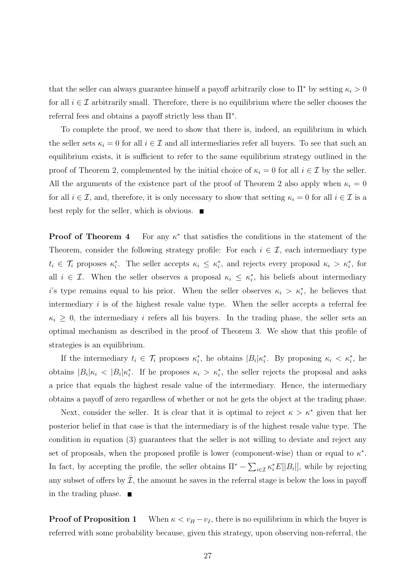that the seller can always guarantee himself a payoff arbitrarily close to  $\Pi^*$  by setting  $\kappa_i > 0$ for all  $i \in \mathcal{I}$  arbitrarily small. Therefore, there is no equilibrium where the seller chooses the referral fees and obtains a payoff strictly less than Π<sup>∗</sup> .

To complete the proof, we need to show that there is, indeed, an equilibrium in which the seller sets  $\kappa_i = 0$  for all  $i \in \mathcal{I}$  and all intermediaries refer all buyers. To see that such an equilibrium exists, it is sufficient to refer to the same equilibrium strategy outlined in the proof of Theorem 2, complemented by the initial choice of  $\kappa_i = 0$  for all  $i \in \mathcal{I}$  by the seller. All the arguments of the existence part of the proof of Theorem 2 also apply when  $\kappa_i = 0$ for all  $i \in \mathcal{I}$ , and, therefore, it is only necessary to show that setting  $\kappa_i = 0$  for all  $i \in \mathcal{I}$  is a best reply for the seller, which is obvious.  $\blacksquare$ 

Proof of Theorem 4 ∗ that satisfies the conditions in the statement of the Theorem, consider the following strategy profile: For each  $i \in \mathcal{I}$ , each intermediary type  $t_i \in \mathcal{T}_i$  proposes  $\kappa_i^*$ . The seller accepts  $\kappa_i \leq \kappa_i^*$ , and rejects every proposal  $\kappa_i > \kappa_i^*$ , for all  $i \in \mathcal{I}$ . When the seller observes a proposal  $\kappa_i \leq \kappa_i^*$ , his beliefs about intermediary i's type remains equal to his prior. When the seller observes  $\kappa_i > \kappa_i^*$ , he believes that intermediary  $i$  is of the highest resale value type. When the seller accepts a referral fee  $\kappa_i \geq 0$ , the intermediary *i* refers all his buyers. In the trading phase, the seller sets an optimal mechanism as described in the proof of Theorem 3. We show that this profile of strategies is an equilibrium.

If the intermediary  $t_i \in \mathcal{T}_i$  proposes  $\kappa_i^*$ , he obtains  $|B_i|\kappa_i^*$ . By proposing  $\kappa_i < \kappa_i^*$ , he obtains  $|B_i|\kappa_i$  <  $|B_i|\kappa_i^*$ . If he proposes  $\kappa_i > \kappa_i^*$ , the seller rejects the proposal and asks a price that equals the highest resale value of the intermediary. Hence, the intermediary obtains a payoff of zero regardless of whether or not he gets the object at the trading phase.

Next, consider the seller. It is clear that it is optimal to reject  $\kappa > \kappa^*$  given that her posterior belief in that case is that the intermediary is of the highest resale value type. The condition in equation (3) guarantees that the seller is not willing to deviate and reject any set of proposals, when the proposed profile is lower (component-wise) than or equal to  $\kappa^*$ . In fact, by accepting the profile, the seller obtains  $\Pi^* - \sum_{i \in \mathcal{I}} \kappa_i^* E[|B_i|]$ , while by rejecting any subset of offers by  $\hat{\mathcal{I}}$ , the amount he saves in the referral stage is below the loss in payoff in the trading phase.

**Proof of Proposition 1** When  $\kappa < v_H - v_I$ , there is no equilibrium in which the buyer is referred with some probability because, given this strategy, upon observing non-referral, the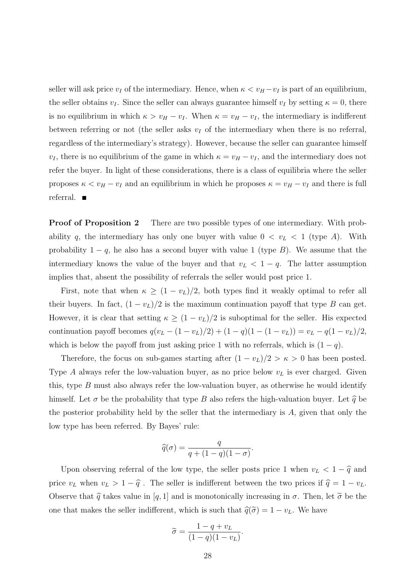seller will ask price  $v_I$  of the intermediary. Hence, when  $\kappa < v_H - v_I$  is part of an equilibrium, the seller obtains  $v_I$ . Since the seller can always guarantee himself  $v_I$  by setting  $\kappa = 0$ , there is no equilibrium in which  $\kappa > v_H - v_I$ . When  $\kappa = v_H - v_I$ , the intermediary is indifferent between referring or not (the seller asks  $v_I$  of the intermediary when there is no referral, regardless of the intermediary's strategy). However, because the seller can guarantee himself  $v_I$ , there is no equilibrium of the game in which  $\kappa = v_H - v_I$ , and the intermediary does not refer the buyer. In light of these considerations, there is a class of equilibria where the seller proposes  $\kappa < v_H - v_I$  and an equilibrium in which he proposes  $\kappa = v_H - v_I$  and there is full referral.  $\blacksquare$ 

**Proof of Proposition 2** There are two possible types of one intermediary. With probability q, the intermediary has only one buyer with value  $0 < v<sub>L</sub> < 1$  (type A). With probability  $1 - q$ , he also has a second buyer with value 1 (type B). We assume that the intermediary knows the value of the buyer and that  $v_L < 1 - q$ . The latter assumption implies that, absent the possibility of referrals the seller would post price 1.

First, note that when  $\kappa \ge (1 - v_L)/2$ , both types find it weakly optimal to refer all their buyers. In fact,  $(1 - v_L)/2$  is the maximum continuation payoff that type B can get. However, it is clear that setting  $\kappa \ge (1 - v_L)/2$  is suboptimal for the seller. His expected continuation payoff becomes  $q(v_L - (1 - v_L)/2) + (1 - q)(1 - (1 - v_L)) = v_L - q(1 - v_L)/2$ , which is below the payoff from just asking price 1 with no referrals, which is  $(1 - q)$ .

Therefore, the focus on sub-games starting after  $(1 - v_L)/2 > \kappa > 0$  has been posted. Type A always refer the low-valuation buyer, as no price below  $v<sub>L</sub>$  is ever charged. Given this, type  $B$  must also always refer the low-valuation buyer, as otherwise he would identify himself. Let  $\sigma$  be the probability that type B also refers the high-valuation buyer. Let  $\hat{q}$  be the posterior probability held by the seller that the intermediary is  $A$ , given that only the low type has been referred. By Bayes' rule:

$$
\widehat{q}(\sigma) = \frac{q}{q + (1-q)(1-\sigma)}.
$$

Upon observing referral of the low type, the seller posts price 1 when  $v_L < 1 - \hat{q}$  and price  $v_L$  when  $v_L > 1 - \hat{q}$ . The seller is indifferent between the two prices if  $\hat{q} = 1 - v_L$ . Observe that  $\hat{q}$  takes value in [q, 1] and is monotonically increasing in  $\sigma$ . Then, let  $\tilde{\sigma}$  be the one that makes the seller indifferent, which is such that  $\hat{q}(\tilde{\sigma}) = 1 - v<sub>L</sub>$ . We have

$$
\widetilde{\sigma} = \frac{1 - q + v_L}{(1 - q)(1 - v_L)}
$$

.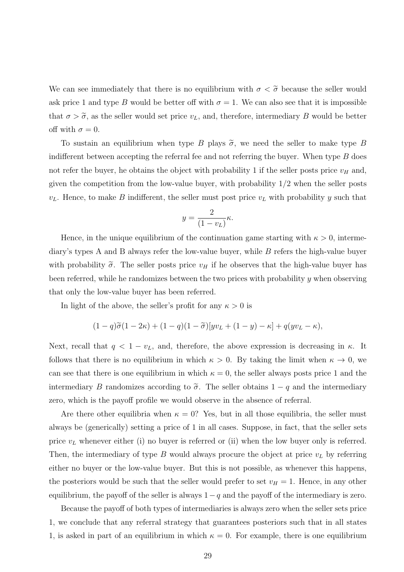We can see immediately that there is no equilibrium with  $\sigma < \tilde{\sigma}$  because the seller would ask price 1 and type B would be better off with  $\sigma = 1$ . We can also see that it is impossible that  $\sigma > \tilde{\sigma}$ , as the seller would set price  $v_L$ , and, therefore, intermediary B would be better off with  $\sigma = 0$ .

To sustain an equilibrium when type B plays  $\tilde{\sigma}$ , we need the seller to make type B indifferent between accepting the referral fee and not referring the buyer. When type  $B$  does not refer the buyer, he obtains the object with probability 1 if the seller posts price  $v_H$  and, given the competition from the low-value buyer, with probability  $1/2$  when the seller posts  $v<sub>L</sub>$ . Hence, to make B indifferent, the seller must post price  $v<sub>L</sub>$  with probability y such that

$$
y = \frac{2}{(1 - v_L)} \kappa.
$$

Hence, in the unique equilibrium of the continuation game starting with  $\kappa > 0$ , intermediary's types A and B always refer the low-value buyer, while B refers the high-value buyer with probability  $\tilde{\sigma}$ . The seller posts price  $v_H$  if he observes that the high-value buyer has been referred, while he randomizes between the two prices with probability y when observing that only the low-value buyer has been referred.

In light of the above, the seller's profit for any  $\kappa > 0$  is

$$
(1-q)\widetilde{\sigma}(1-2\kappa) + (1-q)(1-\widetilde{\sigma})[yv_L + (1-y) - \kappa] + q(yv_L - \kappa),
$$

Next, recall that  $q < 1 - v_L$ , and, therefore, the above expression is decreasing in  $\kappa$ . It follows that there is no equilibrium in which  $\kappa > 0$ . By taking the limit when  $\kappa \to 0$ , we can see that there is one equilibrium in which  $\kappa = 0$ , the seller always posts price 1 and the intermediary B randomizes according to  $\tilde{\sigma}$ . The seller obtains  $1 - q$  and the intermediary zero, which is the payoff profile we would observe in the absence of referral.

Are there other equilibria when  $\kappa = 0$ ? Yes, but in all those equilibria, the seller must always be (generically) setting a price of 1 in all cases. Suppose, in fact, that the seller sets price  $v<sub>L</sub>$  whenever either (i) no buyer is referred or (ii) when the low buyer only is referred. Then, the intermediary of type  $B$  would always procure the object at price  $v<sub>L</sub>$  by referring either no buyer or the low-value buyer. But this is not possible, as whenever this happens, the posteriors would be such that the seller would prefer to set  $v_H = 1$ . Hence, in any other equilibrium, the payoff of the seller is always  $1-q$  and the payoff of the intermediary is zero.

Because the payoff of both types of intermediaries is always zero when the seller sets price 1, we conclude that any referral strategy that guarantees posteriors such that in all states 1, is asked in part of an equilibrium in which  $\kappa = 0$ . For example, there is one equilibrium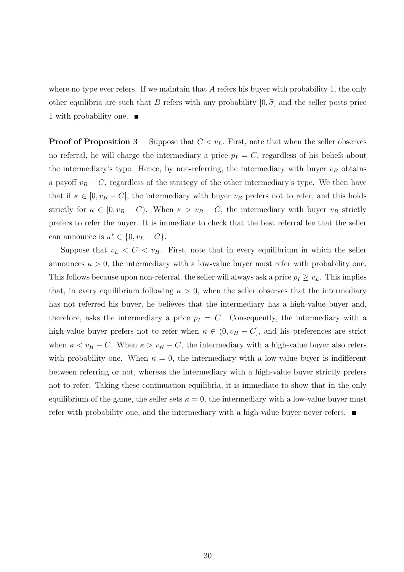where no type ever refers. If we maintain that  $A$  refers his buyer with probability 1, the only other equilibria are such that B refers with any probability  $[0, \hat{\sigma}]$  and the seller posts price 1 with probability one.

**Proof of Proposition 3** Suppose that  $C < v_L$ . First, note that when the seller observes no referral, he will charge the intermediary a price  $p_I = C$ , regardless of his beliefs about the intermediary's type. Hence, by non-referring, the intermediary with buyer  $v_B$  obtains a payoff  $v_B - C$ , regardless of the strategy of the other intermediary's type. We then have that if  $\kappa \in [0, v_B - C]$ , the intermediary with buyer  $v_B$  prefers not to refer, and this holds strictly for  $\kappa \in [0, v_B - C)$ . When  $\kappa > v_B - C$ , the intermediary with buyer  $v_B$  strictly prefers to refer the buyer. It is immediate to check that the best referral fee that the seller can announce is  $\kappa^* \in \{0, v_L - C\}.$ 

Suppose that  $v_L < C < v_H$ . First, note that in every equilibrium in which the seller announces  $\kappa > 0$ , the intermediary with a low-value buyer must refer with probability one. This follows because upon non-referral, the seller will always ask a price  $p_I \geq v_L$ . This implies that, in every equilibrium following  $\kappa > 0$ , when the seller observes that the intermediary has not referred his buyer, he believes that the intermediary has a high-value buyer and, therefore, asks the intermediary a price  $p_I = C$ . Consequently, the intermediary with a high-value buyer prefers not to refer when  $\kappa \in (0, v_H - C]$ , and his preferences are strict when  $\kappa < v_H - C$ . When  $\kappa > v_H - C$ , the intermediary with a high-value buyer also refers with probability one. When  $\kappa = 0$ , the intermediary with a low-value buyer is indifferent between referring or not, whereas the intermediary with a high-value buyer strictly prefers not to refer. Taking these continuation equilibria, it is immediate to show that in the only equilibrium of the game, the seller sets  $\kappa = 0$ , the intermediary with a low-value buyer must refer with probability one, and the intermediary with a high-value buyer never refers.  $\blacksquare$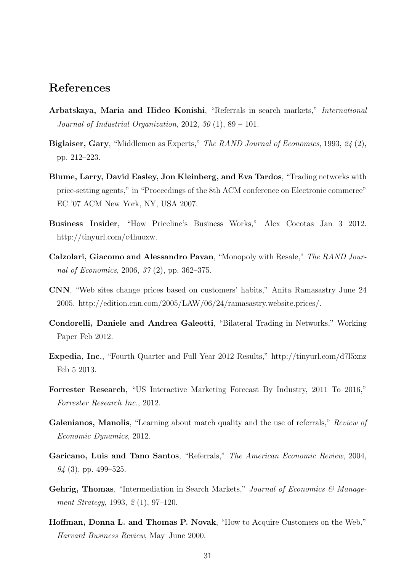## References

- Arbatskaya, Maria and Hideo Konishi, "Referrals in search markets," *International Journal of Industrial Organization*, 2012, *30* (1), 89 – 101.
- Biglaiser, Gary, "Middlemen as Experts," *The RAND Journal of Economics*, 1993, *24* (2), pp. 212–223.
- Blume, Larry, David Easley, Jon Kleinberg, and Eva Tardos, "Trading networks with price-setting agents," in "Proceedings of the 8th ACM conference on Electronic commerce" EC '07 ACM New York, NY, USA 2007.
- Business Insider, "How Priceline's Business Works," Alex Cocotas Jan 3 2012. http://tinyurl.com/c4huoxw.
- Calzolari, Giacomo and Alessandro Pavan, "Monopoly with Resale," *The RAND Journal of Economics*, 2006, *37* (2), pp. 362–375.
- CNN, "Web sites change prices based on customers' habits," Anita Ramasastry June 24 2005. http://edition.cnn.com/2005/LAW/06/24/ramasastry.website.prices/.
- Condorelli, Daniele and Andrea Galeotti, "Bilateral Trading in Networks," Working Paper Feb 2012.
- Expedia, Inc., "Fourth Quarter and Full Year 2012 Results," http://tinyurl.com/d7l5xnz Feb 5 2013.
- Forrester Research, "US Interactive Marketing Forecast By Industry, 2011 To 2016," *Forrester Research Inc.*, 2012.
- Galenianos, Manolis, "Learning about match quality and the use of referrals," *Review of Economic Dynamics*, 2012.
- Garicano, Luis and Tano Santos, "Referrals," *The American Economic Review*, 2004, *94* (3), pp. 499–525.
- Gehrig, Thomas, "Intermediation in Search Markets," *Journal of Economics & Management Strategy*, 1993, *2* (1), 97–120.
- Hoffman, Donna L. and Thomas P. Novak, "How to Acquire Customers on the Web," *Harvard Business Review*, May–June 2000.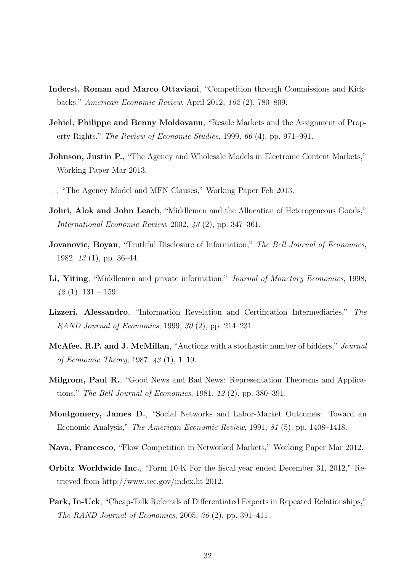- Inderst, Roman and Marco Ottaviani, "Competition through Commissions and Kickbacks," *American Economic Review*, April 2012, *102* (2), 780–809.
- Jehiel, Philippe and Benny Moldovanu, "Resale Markets and the Assignment of Property Rights," *The Review of Economic Studies*, 1999, *66* (4), pp. 971–991.
- Johnson, Justin P., "The Agency and Wholesale Models in Electronic Content Markets," Working Paper Mar 2013.
- , "The Agency Model and MFN Clauses," Working Paper Feb 2013.
- Johri, Alok and John Leach, "Middlemen and the Allocation of Heterogeneous Goods," *International Economic Review*, 2002, *43* (2), pp. 347–361.
- Jovanovic, Boyan, "Truthful Disclosure of Information," *The Bell Journal of Economics*, 1982, *13* (1), pp. 36–44.
- Li, Yiting, "Middlemen and private information," *Journal of Monetary Economics*, 1998, *42* (1), 131 – 159.
- Lizzeri, Alessandro, "Information Revelation and Certification Intermediaries," *The RAND Journal of Economics*, 1999, *30* (2), pp. 214–231.
- McAfee, R.P. and J. McMillan, "Auctions with a stochastic number of bidders," *Journal of Economic Theory*, 1987, *43* (1), 1–19.
- Milgrom, Paul R., "Good News and Bad News: Representation Theorems and Applications," *The Bell Journal of Economics*, 1981, *12* (2), pp. 380–391.
- Montgomery, James D., "Social Networks and Labor-Market Outcomes: Toward an Economic Analysis," *The American Economic Review*, 1991, *81* (5), pp. 1408–1418.
- Nava, Francesco, "Flow Competition in Networked Markets," Working Paper Mar 2012.
- Orbitz Worldwide Inc., "Form 10-K For the fiscal year ended December 31, 2012," Retrieved from http://www.sec.gov/index.ht 2012.
- Park, In-Uck, "Cheap-Talk Referrals of Differentiated Experts in Repeated Relationships," *The RAND Journal of Economics*, 2005, *36* (2), pp. 391–411.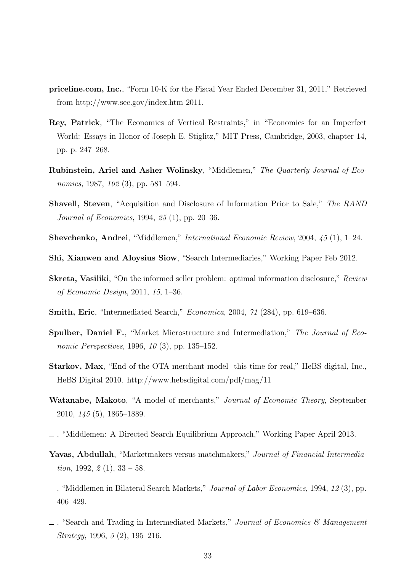- priceline.com, Inc., "Form 10-K for the Fiscal Year Ended December 31, 2011," Retrieved from http://www.sec.gov/index.htm 2011.
- Rey, Patrick, "The Economics of Vertical Restraints," in "Economics for an Imperfect World: Essays in Honor of Joseph E. Stiglitz," MIT Press, Cambridge, 2003, chapter 14, pp. p. 247–268.
- Rubinstein, Ariel and Asher Wolinsky, "Middlemen," *The Quarterly Journal of Economics*, 1987, *102* (3), pp. 581–594.
- Shavell, Steven, "Acquisition and Disclosure of Information Prior to Sale," *The RAND Journal of Economics*, 1994, *25* (1), pp. 20–36.
- Shevchenko, Andrei, "Middlemen," *International Economic Review*, 2004, *45* (1), 1–24.
- Shi, Xianwen and Aloysius Siow, "Search Intermediaries," Working Paper Feb 2012.
- Skreta, Vasiliki, "On the informed seller problem: optimal information disclosure," *Review of Economic Design*, 2011, *15*, 1–36.
- Smith, Eric, "Intermediated Search," *Economica*, 2004, *71* (284), pp. 619–636.
- Spulber, Daniel F., "Market Microstructure and Intermediation," *The Journal of Economic Perspectives*, 1996, *10* (3), pp. 135–152.
- Starkov, Max, "End of the OTA merchant model this time for real," HeBS digital, Inc., HeBS Digital 2010. http://www.hebsdigital.com/pdf/mag/11
- Watanabe, Makoto, "A model of merchants," *Journal of Economic Theory*, September 2010, *145* (5), 1865–1889.
- , "Middlemen: A Directed Search Equilibrium Approach," Working Paper April 2013.
- Yavas, Abdullah, "Marketmakers versus matchmakers," *Journal of Financial Intermediation*, 1992, *2* (1), 33 – 58.
- , "Middlemen in Bilateral Search Markets," *Journal of Labor Economics*, 1994, *12* (3), pp. 406–429.
- , "Search and Trading in Intermediated Markets," *Journal of Economics & Management Strategy*, 1996, *5* (2), 195–216.